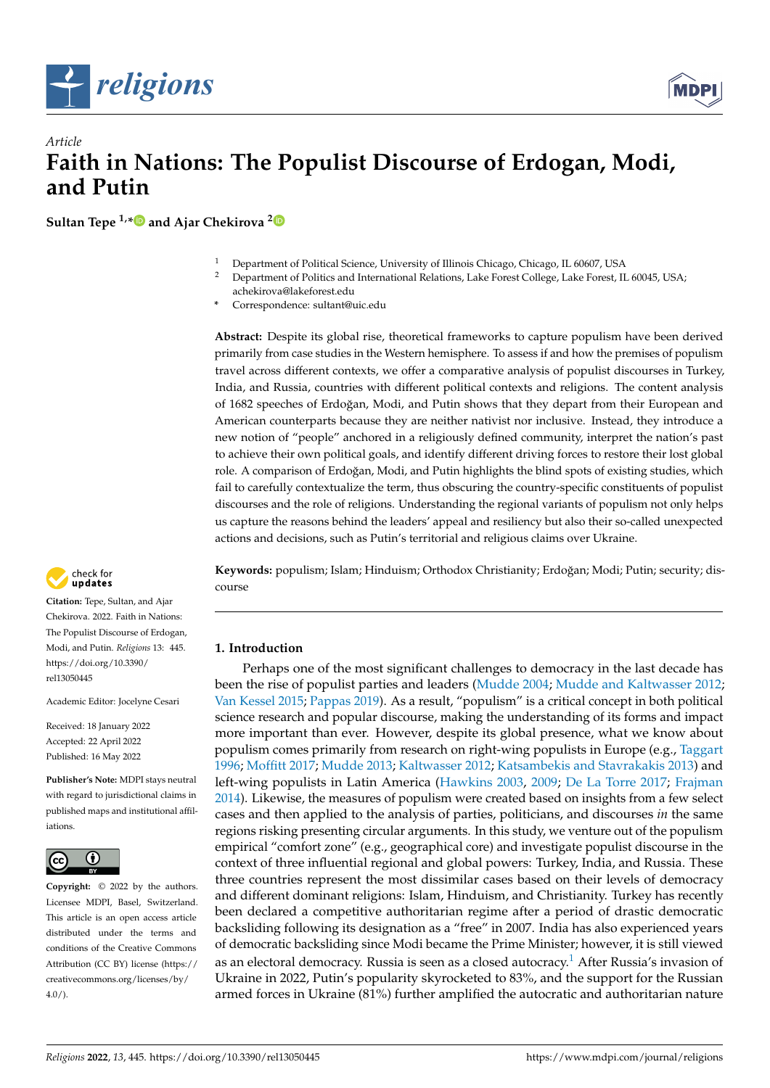



# *Article* **Faith in Nations: The Populist Discourse of Erdogan, Modi, and Putin**

**Sultan Tepe 1,[\\*](https://orcid.org/0000-0002-9552-4282) and Ajar Chekirova [2](https://orcid.org/0000-0001-9483-3502)**

- <sup>1</sup> Department of Political Science, University of Illinois Chicago, Chicago, IL 60607, USA
- <sup>2</sup> Department of Politics and International Relations, Lake Forest College, Lake Forest, IL 60045, USA; achekirova@lakeforest.edu
- **\*** Correspondence: sultant@uic.edu

**Abstract:** Despite its global rise, theoretical frameworks to capture populism have been derived primarily from case studies in the Western hemisphere. To assess if and how the premises of populism travel across different contexts, we offer a comparative analysis of populist discourses in Turkey, India, and Russia, countries with different political contexts and religions. The content analysis of 1682 speeches of Erdoğan, Modi, and Putin shows that they depart from their European and American counterparts because they are neither nativist nor inclusive. Instead, they introduce a new notion of "people" anchored in a religiously defined community, interpret the nation's past to achieve their own political goals, and identify different driving forces to restore their lost global role. A comparison of Erdoğan, Modi, and Putin highlights the blind spots of existing studies, which fail to carefully contextualize the term, thus obscuring the country-specific constituents of populist discourses and the role of religions. Understanding the regional variants of populism not only helps us capture the reasons behind the leaders' appeal and resiliency but also their so-called unexpected actions and decisions, such as Putin's territorial and religious claims over Ukraine.

Keywords: populism; Islam; Hinduism; Orthodox Christianity; Erdoğan; Modi; Putin; security; discourse

# **1. Introduction**

<span id="page-0-0"></span>Perhaps one of the most significant challenges to democracy in the last decade has been the rise of populist parties and leaders [\(Mudde](#page-19-0) [2004;](#page-19-0) [Mudde and Kaltwasser](#page-19-1) [2012;](#page-19-1) [Van Kessel](#page-20-0) [2015;](#page-20-0) [Pappas](#page-20-1) [2019\)](#page-20-1). As a result, "populism" is a critical concept in both political science research and popular discourse, making the understanding of its forms and impact more important than ever. However, despite its global presence, what we know about populism comes primarily from research on right-wing populists in Europe (e.g., [Taggart](#page-20-2) [1996;](#page-20-2) [Moffitt](#page-19-2) [2017;](#page-19-2) [Mudde](#page-19-3) [2013;](#page-19-3) [Kaltwasser](#page-19-4) [2012;](#page-19-4) [Katsambekis and Stavrakakis](#page-19-5) [2013\)](#page-19-5) and left-wing populists in Latin America [\(Hawkins](#page-19-6) [2003,](#page-19-6) [2009;](#page-19-7) [De La Torre](#page-18-0) [2017;](#page-18-0) [Frajman](#page-18-1) [2014\)](#page-18-1). Likewise, the measures of populism were created based on insights from a few select cases and then applied to the analysis of parties, politicians, and discourses *in* the same regions risking presenting circular arguments. In this study, we venture out of the populism empirical "comfort zone" (e.g., geographical core) and investigate populist discourse in the context of three influential regional and global powers: Turkey, India, and Russia. These three countries represent the most dissimilar cases based on their levels of democracy and different dominant religions: Islam, Hinduism, and Christianity. Turkey has recently been declared a competitive authoritarian regime after a period of drastic democratic backsliding following its designation as a "free" in 2007. India has also experienced years of democratic backsliding since Modi became the Prime Minister; however, it is still viewed as an electoral democracy. Russia is seen as a closed autocracy.<sup>[1](#page-18-2)</sup> After Russia's invasion of Ukraine in 2022, Putin's popularity skyrocketed to 83%, and the support for the Russian armed forces in Ukraine (81%) further amplified the autocratic and authoritarian nature



**Citation:** Tepe, Sultan, and Ajar Chekirova. 2022. Faith in Nations: The Populist Discourse of Erdogan, Modi, and Putin. *Religions* 13: 445. [https://doi.org/10.3390/](https://doi.org/10.3390/rel13050445) [rel13050445](https://doi.org/10.3390/rel13050445)

Academic Editor: Jocelyne Cesari

Received: 18 January 2022 Accepted: 22 April 2022 Published: 16 May 2022

**Publisher's Note:** MDPI stays neutral with regard to jurisdictional claims in published maps and institutional affiliations.



**Copyright:** © 2022 by the authors. Licensee MDPI, Basel, Switzerland. This article is an open access article distributed under the terms and conditions of the Creative Commons Attribution (CC BY) license [\(https://](https://creativecommons.org/licenses/by/4.0/) [creativecommons.org/licenses/by/](https://creativecommons.org/licenses/by/4.0/)  $4.0/$ ).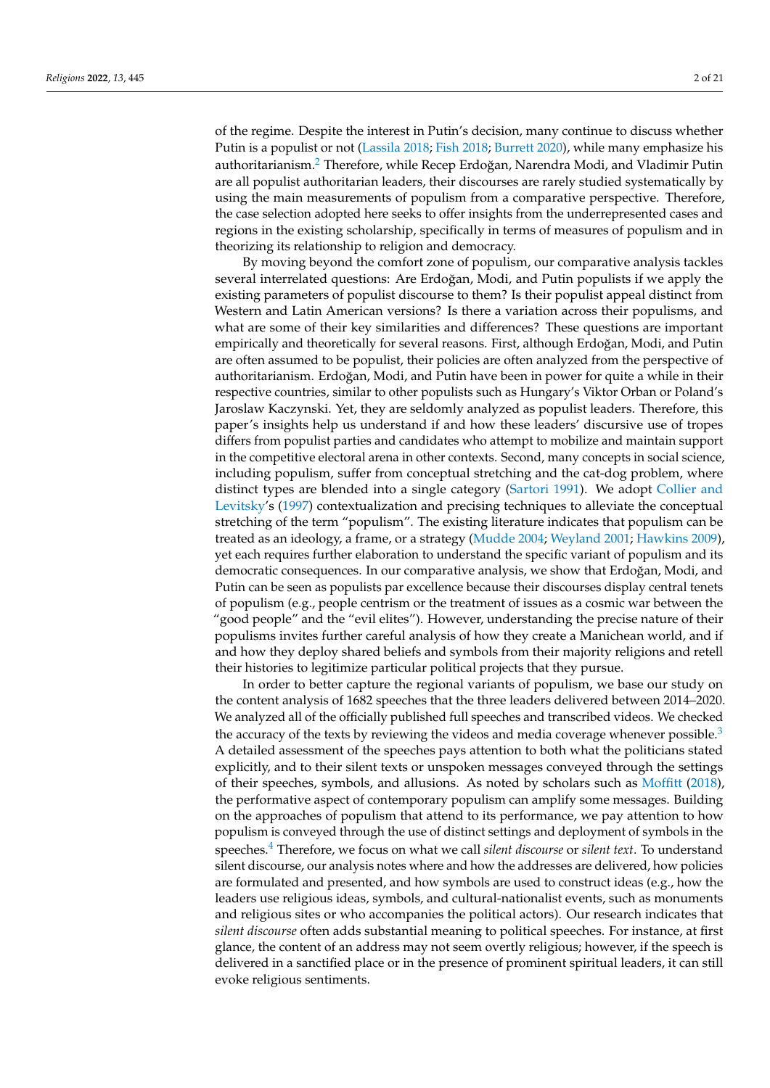<span id="page-1-0"></span>of the regime. Despite the interest in Putin's decision, many continue to discuss whether Putin is a populist or not [\(Lassila](#page-19-8) [2018;](#page-19-8) [Fish](#page-18-3) [2018;](#page-18-3) [Burrett](#page-18-4) [2020\)](#page-18-4), while many emphasize his authoritarianism.<sup>[2](#page-18-5)</sup> Therefore, while Recep Erdoğan, Narendra Modi, and Vladimir Putin are all populist authoritarian leaders, their discourses are rarely studied systematically by using the main measurements of populism from a comparative perspective. Therefore, the case selection adopted here seeks to offer insights from the underrepresented cases and regions in the existing scholarship, specifically in terms of measures of populism and in theorizing its relationship to religion and democracy.

By moving beyond the comfort zone of populism, our comparative analysis tackles several interrelated questions: Are Erdoğan, Modi, and Putin populists if we apply the existing parameters of populist discourse to them? Is their populist appeal distinct from Western and Latin American versions? Is there a variation across their populisms, and what are some of their key similarities and differences? These questions are important empirically and theoretically for several reasons. First, although Erdoğan, Modi, and Putin are often assumed to be populist, their policies are often analyzed from the perspective of authoritarianism. Erdoğan, Modi, and Putin have been in power for quite a while in their respective countries, similar to other populists such as Hungary's Viktor Orban or Poland's Jaroslaw Kaczynski. Yet, they are seldomly analyzed as populist leaders. Therefore, this paper's insights help us understand if and how these leaders' discursive use of tropes differs from populist parties and candidates who attempt to mobilize and maintain support in the competitive electoral arena in other contexts. Second, many concepts in social science, including populism, suffer from conceptual stretching and the cat-dog problem, where distinct types are blended into a single category [\(Sartori](#page-20-3) [1991\)](#page-20-3). We adopt [Collier and](#page-18-6) [Levitsky'](#page-18-6)s [\(1997\)](#page-18-6) contextualization and precising techniques to alleviate the conceptual stretching of the term "populism". The existing literature indicates that populism can be treated as an ideology, a frame, or a strategy [\(Mudde](#page-19-0) [2004;](#page-19-0) [Weyland](#page-20-4) [2001;](#page-20-4) [Hawkins](#page-19-7) [2009\)](#page-19-7), yet each requires further elaboration to understand the specific variant of populism and its democratic consequences. In our comparative analysis, we show that Erdoğan, Modi, and Putin can be seen as populists par excellence because their discourses display central tenets of populism (e.g., people centrism or the treatment of issues as a cosmic war between the "good people" and the "evil elites"). However, understanding the precise nature of their populisms invites further careful analysis of how they create a Manichean world, and if and how they deploy shared beliefs and symbols from their majority religions and retell their histories to legitimize particular political projects that they pursue.

<span id="page-1-2"></span><span id="page-1-1"></span>In order to better capture the regional variants of populism, we base our study on the content analysis of 1682 speeches that the three leaders delivered between 2014–2020. We analyzed all of the officially published full speeches and transcribed videos. We checked the accuracy of the texts by reviewing the videos and media coverage whenever possible.<sup>[3](#page-18-7)</sup> A detailed assessment of the speeches pays attention to both what the politicians stated explicitly, and to their silent texts or unspoken messages conveyed through the settings of their speeches, symbols, and allusions. As noted by scholars such as [Moffitt](#page-19-9) [\(2018\)](#page-19-9), the performative aspect of contemporary populism can amplify some messages. Building on the approaches of populism that attend to its performance, we pay attention to how populism is conveyed through the use of distinct settings and deployment of symbols in the speeches.[4](#page-18-8) Therefore, we focus on what we call *silent discourse* or *silent text*. To understand silent discourse, our analysis notes where and how the addresses are delivered, how policies are formulated and presented, and how symbols are used to construct ideas (e.g., how the leaders use religious ideas, symbols, and cultural-nationalist events, such as monuments and religious sites or who accompanies the political actors). Our research indicates that *silent discourse* often adds substantial meaning to political speeches. For instance, at first glance, the content of an address may not seem overtly religious; however, if the speech is delivered in a sanctified place or in the presence of prominent spiritual leaders, it can still evoke religious sentiments.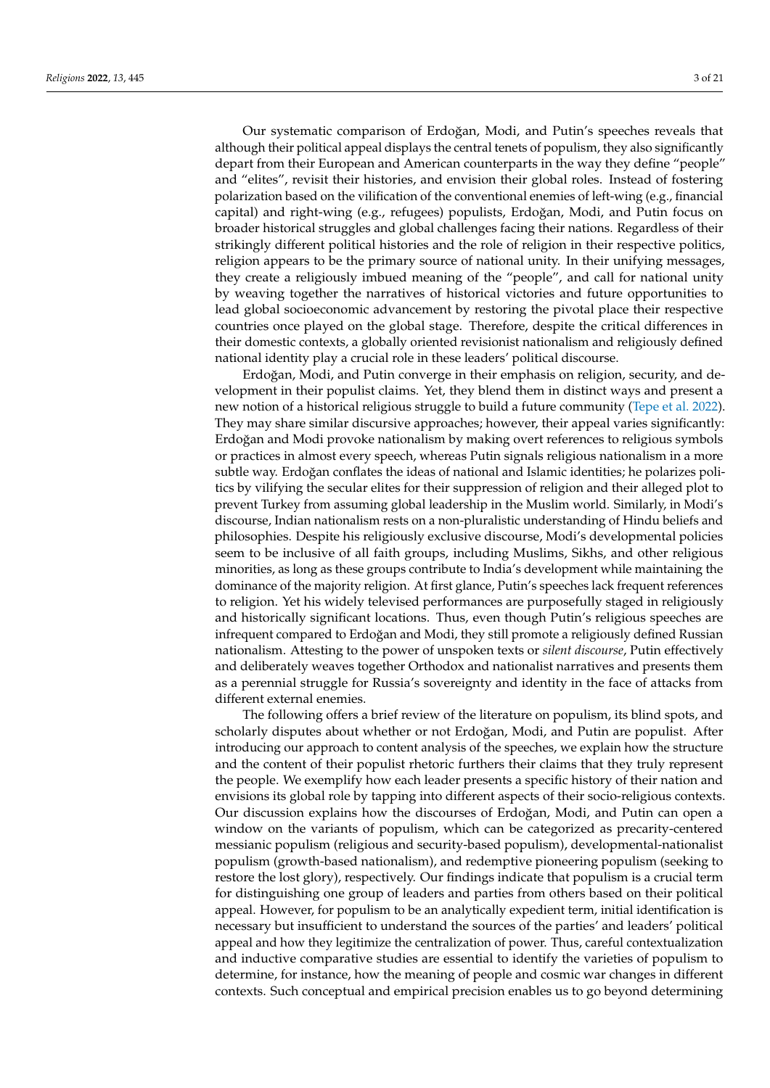Our systematic comparison of Erdoğan, Modi, and Putin's speeches reveals that although their political appeal displays the central tenets of populism, they also significantly depart from their European and American counterparts in the way they define "people" and "elites", revisit their histories, and envision their global roles. Instead of fostering polarization based on the vilification of the conventional enemies of left-wing (e.g., financial capital) and right-wing (e.g., refugees) populists, Erdoğan, Modi, and Putin focus on broader historical struggles and global challenges facing their nations. Regardless of their strikingly different political histories and the role of religion in their respective politics, religion appears to be the primary source of national unity. In their unifying messages, they create a religiously imbued meaning of the "people", and call for national unity by weaving together the narratives of historical victories and future opportunities to lead global socioeconomic advancement by restoring the pivotal place their respective countries once played on the global stage. Therefore, despite the critical differences in their domestic contexts, a globally oriented revisionist nationalism and religiously defined national identity play a crucial role in these leaders' political discourse.

Erdoğan, Modi, and Putin converge in their emphasis on religion, security, and development in their populist claims. Yet, they blend them in distinct ways and present a new notion of a historical religious struggle to build a future community [\(Tepe et al.](#page-20-5) [2022\)](#page-20-5). They may share similar discursive approaches; however, their appeal varies significantly: Erdoğan and Modi provoke nationalism by making overt references to religious symbols or practices in almost every speech, whereas Putin signals religious nationalism in a more subtle way. Erdoğan conflates the ideas of national and Islamic identities; he polarizes politics by vilifying the secular elites for their suppression of religion and their alleged plot to prevent Turkey from assuming global leadership in the Muslim world. Similarly, in Modi's discourse, Indian nationalism rests on a non-pluralistic understanding of Hindu beliefs and philosophies. Despite his religiously exclusive discourse, Modi's developmental policies seem to be inclusive of all faith groups, including Muslims, Sikhs, and other religious minorities, as long as these groups contribute to India's development while maintaining the dominance of the majority religion. At first glance, Putin's speeches lack frequent references to religion. Yet his widely televised performances are purposefully staged in religiously and historically significant locations. Thus, even though Putin's religious speeches are infrequent compared to Erdoğan and Modi, they still promote a religiously defined Russian nationalism. Attesting to the power of unspoken texts or *silent discourse*, Putin effectively and deliberately weaves together Orthodox and nationalist narratives and presents them as a perennial struggle for Russia's sovereignty and identity in the face of attacks from different external enemies.

The following offers a brief review of the literature on populism, its blind spots, and scholarly disputes about whether or not Erdoğan, Modi, and Putin are populist. After introducing our approach to content analysis of the speeches, we explain how the structure and the content of their populist rhetoric furthers their claims that they truly represent the people. We exemplify how each leader presents a specific history of their nation and envisions its global role by tapping into different aspects of their socio-religious contexts. Our discussion explains how the discourses of Erdoğan, Modi, and Putin can open a window on the variants of populism, which can be categorized as precarity-centered messianic populism (religious and security-based populism), developmental-nationalist populism (growth-based nationalism), and redemptive pioneering populism (seeking to restore the lost glory), respectively. Our findings indicate that populism is a crucial term for distinguishing one group of leaders and parties from others based on their political appeal. However, for populism to be an analytically expedient term, initial identification is necessary but insufficient to understand the sources of the parties' and leaders' political appeal and how they legitimize the centralization of power. Thus, careful contextualization and inductive comparative studies are essential to identify the varieties of populism to determine, for instance, how the meaning of people and cosmic war changes in different contexts. Such conceptual and empirical precision enables us to go beyond determining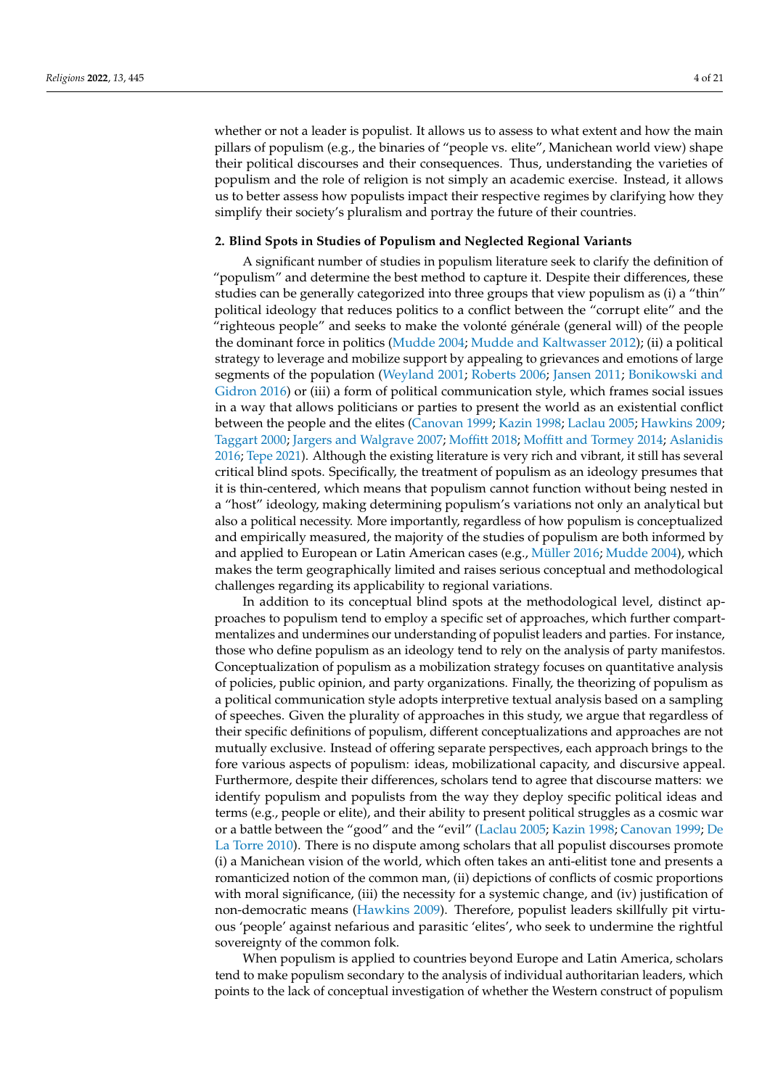whether or not a leader is populist. It allows us to assess to what extent and how the main pillars of populism (e.g., the binaries of "people vs. elite", Manichean world view) shape their political discourses and their consequences. Thus, understanding the varieties of populism and the role of religion is not simply an academic exercise. Instead, it allows us to better assess how populists impact their respective regimes by clarifying how they simplify their society's pluralism and portray the future of their countries.

## **2. Blind Spots in Studies of Populism and Neglected Regional Variants**

A significant number of studies in populism literature seek to clarify the definition of "populism" and determine the best method to capture it. Despite their differences, these studies can be generally categorized into three groups that view populism as (i) a "thin" political ideology that reduces politics to a conflict between the "corrupt elite" and the "righteous people" and seeks to make the volonté générale (general will) of the people the dominant force in politics [\(Mudde](#page-19-0) [2004;](#page-19-0) [Mudde and Kaltwasser](#page-19-1) [2012\)](#page-19-1); (ii) a political strategy to leverage and mobilize support by appealing to grievances and emotions of large segments of the population [\(Weyland](#page-20-4) [2001;](#page-20-4) [Roberts](#page-20-6) [2006;](#page-20-6) [Jansen](#page-19-10) [2011;](#page-19-10) [Bonikowski and](#page-18-9) [Gidron](#page-18-9) [2016\)](#page-18-9) or (iii) a form of political communication style, which frames social issues in a way that allows politicians or parties to present the world as an existential conflict between the people and the elites [\(Canovan](#page-18-10) [1999;](#page-18-10) [Kazin](#page-19-11) [1998;](#page-19-11) [Laclau](#page-19-12) [2005;](#page-19-12) [Hawkins](#page-19-7) [2009;](#page-19-7) [Taggart](#page-20-7) [2000;](#page-20-7) [Jargers and Walgrave](#page-19-13) [2007;](#page-19-13) [Moffitt](#page-19-9) [2018;](#page-19-9) [Moffitt and Tormey](#page-19-14) [2014;](#page-19-14) [Aslanidis](#page-18-11) [2016;](#page-18-11) [Tepe](#page-20-8) [2021\)](#page-20-8). Although the existing literature is very rich and vibrant, it still has several critical blind spots. Specifically, the treatment of populism as an ideology presumes that it is thin-centered, which means that populism cannot function without being nested in a "host" ideology, making determining populism's variations not only an analytical but also a political necessity. More importantly, regardless of how populism is conceptualized and empirically measured, the majority of the studies of populism are both informed by and applied to European or Latin American cases (e.g., [Müller](#page-19-15) [2016;](#page-19-15) [Mudde](#page-19-0) [2004\)](#page-19-0), which makes the term geographically limited and raises serious conceptual and methodological challenges regarding its applicability to regional variations.

In addition to its conceptual blind spots at the methodological level, distinct approaches to populism tend to employ a specific set of approaches, which further compartmentalizes and undermines our understanding of populist leaders and parties. For instance, those who define populism as an ideology tend to rely on the analysis of party manifestos. Conceptualization of populism as a mobilization strategy focuses on quantitative analysis of policies, public opinion, and party organizations. Finally, the theorizing of populism as a political communication style adopts interpretive textual analysis based on a sampling of speeches. Given the plurality of approaches in this study, we argue that regardless of their specific definitions of populism, different conceptualizations and approaches are not mutually exclusive. Instead of offering separate perspectives, each approach brings to the fore various aspects of populism: ideas, mobilizational capacity, and discursive appeal. Furthermore, despite their differences, scholars tend to agree that discourse matters: we identify populism and populists from the way they deploy specific political ideas and terms (e.g., people or elite), and their ability to present political struggles as a cosmic war or a battle between the "good" and the "evil" [\(Laclau](#page-19-12) [2005;](#page-19-12) [Kazin](#page-19-11) [1998;](#page-19-11) [Canovan](#page-18-10) [1999;](#page-18-10) [De](#page-18-12) [La Torre](#page-18-12) [2010\)](#page-18-12). There is no dispute among scholars that all populist discourses promote (i) a Manichean vision of the world, which often takes an anti-elitist tone and presents a romanticized notion of the common man, (ii) depictions of conflicts of cosmic proportions with moral significance, (iii) the necessity for a systemic change, and (iv) justification of non-democratic means [\(Hawkins](#page-19-7) [2009\)](#page-19-7). Therefore, populist leaders skillfully pit virtuous 'people' against nefarious and parasitic 'elites', who seek to undermine the rightful sovereignty of the common folk.

When populism is applied to countries beyond Europe and Latin America, scholars tend to make populism secondary to the analysis of individual authoritarian leaders, which points to the lack of conceptual investigation of whether the Western construct of populism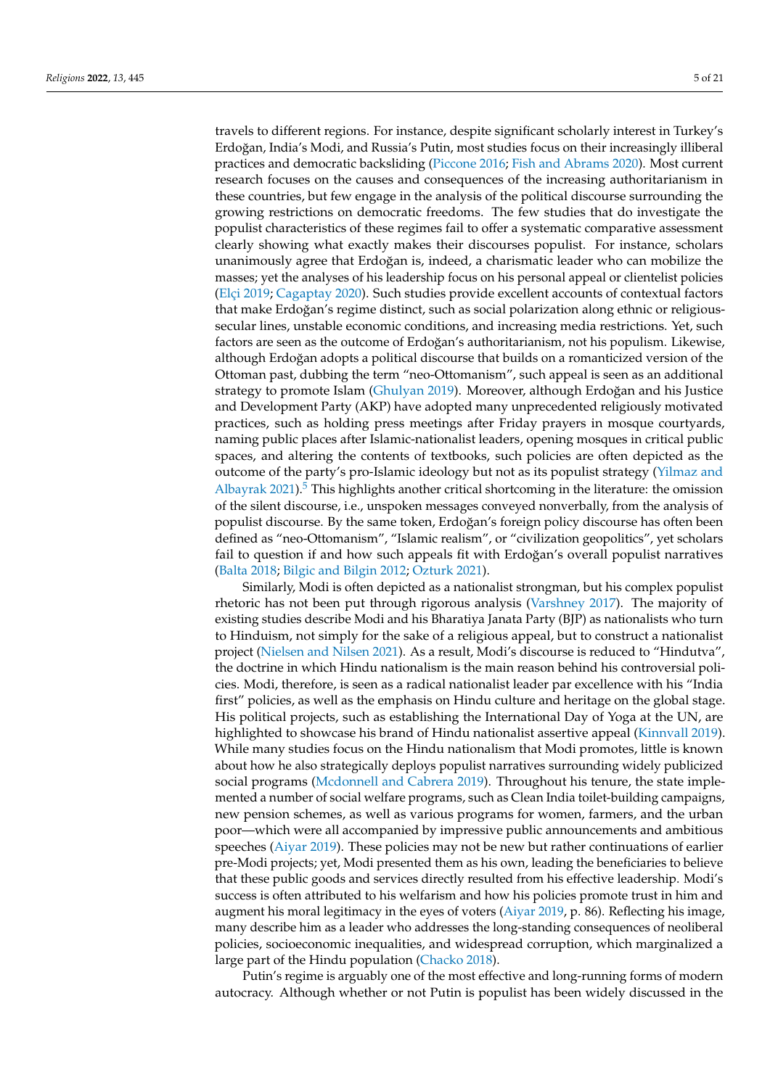travels to different regions. For instance, despite significant scholarly interest in Turkey's Erdoğan, India's Modi, and Russia's Putin, most studies focus on their increasingly illiberal practices and democratic backsliding [\(Piccone](#page-20-9) [2016;](#page-20-9) [Fish and Abrams](#page-18-13) [2020\)](#page-18-13). Most current research focuses on the causes and consequences of the increasing authoritarianism in these countries, but few engage in the analysis of the political discourse surrounding the growing restrictions on democratic freedoms. The few studies that do investigate the populist characteristics of these regimes fail to offer a systematic comparative assessment clearly showing what exactly makes their discourses populist. For instance, scholars unanimously agree that Erdoğan is, indeed, a charismatic leader who can mobilize the masses; yet the analyses of his leadership focus on his personal appeal or clientelist policies [\(Elçi](#page-18-14) [2019;](#page-18-14) [Cagaptay](#page-18-15) [2020\)](#page-18-15). Such studies provide excellent accounts of contextual factors that make Erdoğan's regime distinct, such as social polarization along ethnic or religioussecular lines, unstable economic conditions, and increasing media restrictions. Yet, such factors are seen as the outcome of Erdoğan's authoritarianism, not his populism. Likewise, although Erdoğan adopts a political discourse that builds on a romanticized version of the Ottoman past, dubbing the term "neo-Ottomanism", such appeal is seen as an additional strategy to promote Islam [\(Ghulyan](#page-19-16) [2019\)](#page-19-16). Moreover, although Erdoğan and his Justice and Development Party (AKP) have adopted many unprecedented religiously motivated practices, such as holding press meetings after Friday prayers in mosque courtyards, naming public places after Islamic-nationalist leaders, opening mosques in critical public spaces, and altering the contents of textbooks, such policies are often depicted as the outcome of the party's pro-Islamic ideology but not as its populist strategy [\(Yilmaz and](#page-20-10) [Albayrak](#page-20-10) [2021\)](#page-20-10).<sup>[5](#page-18-16)</sup> This highlights another critical shortcoming in the literature: the omission of the silent discourse, i.e., unspoken messages conveyed nonverbally, from the analysis of populist discourse. By the same token, Erdoğan's foreign policy discourse has often been defined as "neo-Ottomanism", "Islamic realism", or "civilization geopolitics", yet scholars fail to question if and how such appeals fit with Erdoğan's overall populist narratives [\(Balta](#page-18-17) [2018;](#page-18-17) [Bilgic and Bilgin](#page-18-18) [2012;](#page-18-18) [Ozturk](#page-20-11) [2021\)](#page-20-11).

<span id="page-4-0"></span>Similarly, Modi is often depicted as a nationalist strongman, but his complex populist rhetoric has not been put through rigorous analysis [\(Varshney](#page-20-12) [2017\)](#page-20-12). The majority of existing studies describe Modi and his Bharatiya Janata Party (BJP) as nationalists who turn to Hinduism, not simply for the sake of a religious appeal, but to construct a nationalist project [\(Nielsen and Nilsen](#page-20-13) [2021\)](#page-20-13). As a result, Modi's discourse is reduced to "Hindutva", the doctrine in which Hindu nationalism is the main reason behind his controversial policies. Modi, therefore, is seen as a radical nationalist leader par excellence with his "India first" policies, as well as the emphasis on Hindu culture and heritage on the global stage. His political projects, such as establishing the International Day of Yoga at the UN, are highlighted to showcase his brand of Hindu nationalist assertive appeal [\(Kinnvall](#page-19-17) [2019\)](#page-19-17). While many studies focus on the Hindu nationalism that Modi promotes, little is known about how he also strategically deploys populist narratives surrounding widely publicized social programs [\(Mcdonnell and Cabrera](#page-19-18) [2019\)](#page-19-18). Throughout his tenure, the state implemented a number of social welfare programs, such as Clean India toilet-building campaigns, new pension schemes, as well as various programs for women, farmers, and the urban poor—which were all accompanied by impressive public announcements and ambitious speeches [\(Aiyar](#page-18-19) [2019\)](#page-18-19). These policies may not be new but rather continuations of earlier pre-Modi projects; yet, Modi presented them as his own, leading the beneficiaries to believe that these public goods and services directly resulted from his effective leadership. Modi's success is often attributed to his welfarism and how his policies promote trust in him and augment his moral legitimacy in the eyes of voters [\(Aiyar](#page-18-19) [2019,](#page-18-19) p. 86). Reflecting his image, many describe him as a leader who addresses the long-standing consequences of neoliberal policies, socioeconomic inequalities, and widespread corruption, which marginalized a large part of the Hindu population [\(Chacko](#page-18-20) [2018\)](#page-18-20).

Putin's regime is arguably one of the most effective and long-running forms of modern autocracy. Although whether or not Putin is populist has been widely discussed in the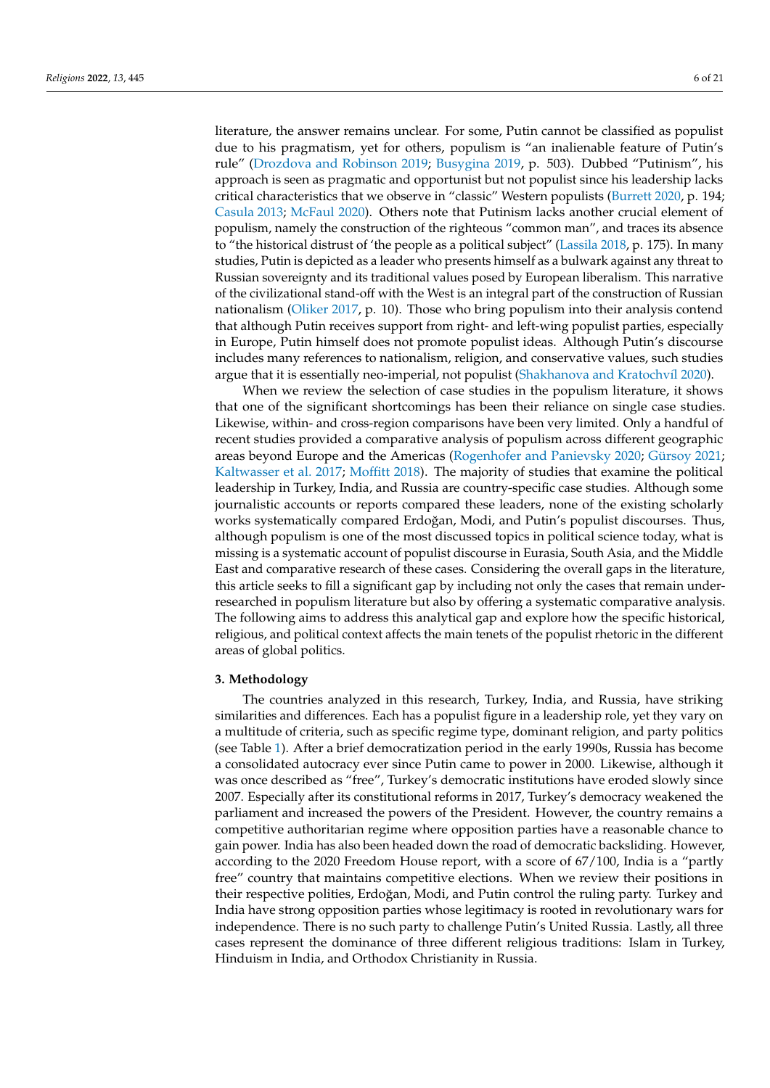literature, the answer remains unclear. For some, Putin cannot be classified as populist due to his pragmatism, yet for others, populism is "an inalienable feature of Putin's rule" [\(Drozdova and Robinson](#page-18-21) [2019;](#page-18-21) [Busygina](#page-18-22) [2019,](#page-18-22) p. 503). Dubbed "Putinism", his approach is seen as pragmatic and opportunist but not populist since his leadership lacks critical characteristics that we observe in "classic" Western populists [\(Burrett](#page-18-4) [2020,](#page-18-4) p. 194; [Casula](#page-18-23) [2013;](#page-18-23) [McFaul](#page-19-19) [2020\)](#page-19-19). Others note that Putinism lacks another crucial element of populism, namely the construction of the righteous "common man", and traces its absence to "the historical distrust of 'the people as a political subject" [\(Lassila](#page-19-8) [2018,](#page-19-8) p. 175). In many studies, Putin is depicted as a leader who presents himself as a bulwark against any threat to Russian sovereignty and its traditional values posed by European liberalism. This narrative of the civilizational stand-off with the West is an integral part of the construction of Russian nationalism [\(Oliker](#page-20-14) [2017,](#page-20-14) p. 10). Those who bring populism into their analysis contend that although Putin receives support from right- and left-wing populist parties, especially in Europe, Putin himself does not promote populist ideas. Although Putin's discourse includes many references to nationalism, religion, and conservative values, such studies argue that it is essentially neo-imperial, not populist [\(Shakhanova and Kratochv](#page-20-15)íl [2020\)](#page-20-15).

When we review the selection of case studies in the populism literature, it shows that one of the significant shortcomings has been their reliance on single case studies. Likewise, within- and cross-region comparisons have been very limited. Only a handful of recent studies provided a comparative analysis of populism across different geographic areas beyond Europe and the Americas [\(Rogenhofer and Panievsky](#page-20-16) [2020;](#page-20-16) [Gürsoy](#page-19-20) [2021;](#page-19-20) [Kaltwasser et al.](#page-19-21) [2017;](#page-19-21) [Moffitt](#page-19-9) [2018\)](#page-19-9). The majority of studies that examine the political leadership in Turkey, India, and Russia are country-specific case studies. Although some journalistic accounts or reports compared these leaders, none of the existing scholarly works systematically compared Erdoğan, Modi, and Putin's populist discourses. Thus, although populism is one of the most discussed topics in political science today, what is missing is a systematic account of populist discourse in Eurasia, South Asia, and the Middle East and comparative research of these cases. Considering the overall gaps in the literature, this article seeks to fill a significant gap by including not only the cases that remain underresearched in populism literature but also by offering a systematic comparative analysis. The following aims to address this analytical gap and explore how the specific historical, religious, and political context affects the main tenets of the populist rhetoric in the different areas of global politics.

#### **3. Methodology**

The countries analyzed in this research, Turkey, India, and Russia, have striking similarities and differences. Each has a populist figure in a leadership role, yet they vary on a multitude of criteria, such as specific regime type, dominant religion, and party politics (see Table [1\)](#page-6-0). After a brief democratization period in the early 1990s, Russia has become a consolidated autocracy ever since Putin came to power in 2000. Likewise, although it was once described as "free", Turkey's democratic institutions have eroded slowly since 2007. Especially after its constitutional reforms in 2017, Turkey's democracy weakened the parliament and increased the powers of the President. However, the country remains a competitive authoritarian regime where opposition parties have a reasonable chance to gain power. India has also been headed down the road of democratic backsliding. However, according to the 2020 Freedom House report, with a score of 67/100, India is a "partly free" country that maintains competitive elections. When we review their positions in their respective polities, Erdoğan, Modi, and Putin control the ruling party. Turkey and India have strong opposition parties whose legitimacy is rooted in revolutionary wars for independence. There is no such party to challenge Putin's United Russia. Lastly, all three cases represent the dominance of three different religious traditions: Islam in Turkey, Hinduism in India, and Orthodox Christianity in Russia.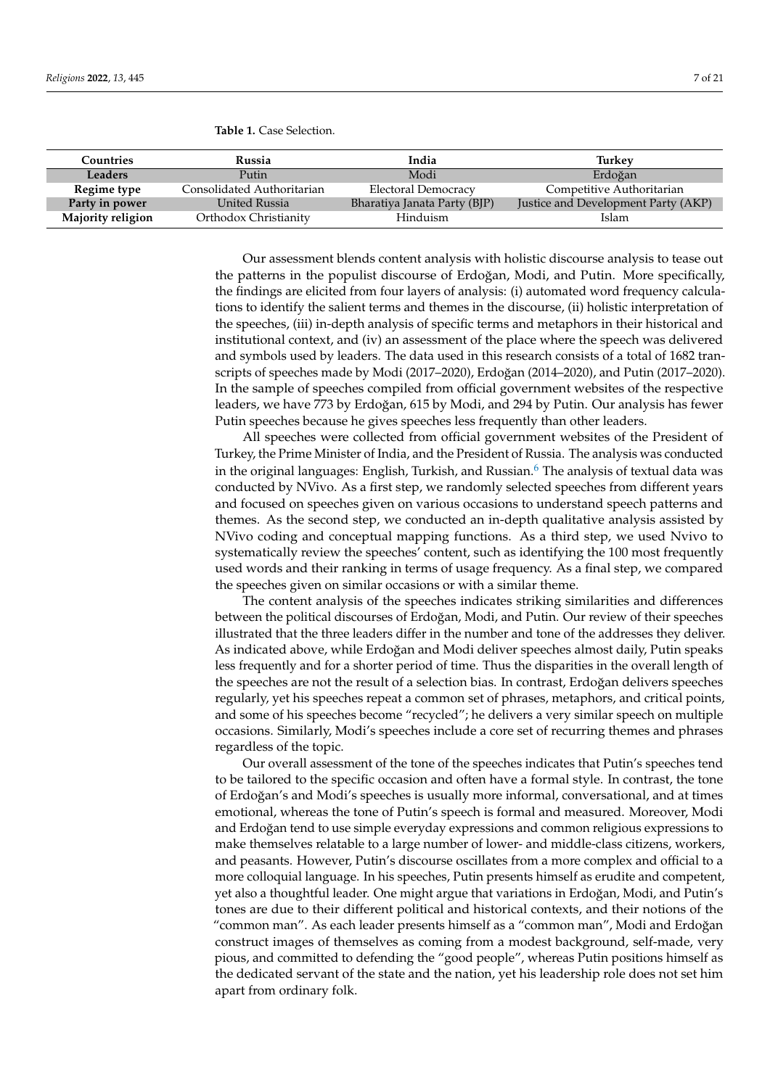<span id="page-6-0"></span>**Table 1.** Case Selection.

| Countries         | Russia                     | India                        | Turkev                              |  |
|-------------------|----------------------------|------------------------------|-------------------------------------|--|
| Leaders           | Putin                      | Modi                         | Erdoğan                             |  |
| Regime type       | Consolidated Authoritarian | <b>Electoral Democracy</b>   | Competitive Authoritarian           |  |
| Party in power    | United Russia              | Bharatiya Janata Party (BJP) | Justice and Development Party (AKP) |  |
| Majority religion | Orthodox Christianity      | Hinduism                     | Islam                               |  |

Our assessment blends content analysis with holistic discourse analysis to tease out the patterns in the populist discourse of Erdoğan, Modi, and Putin. More specifically, the findings are elicited from four layers of analysis: (i) automated word frequency calculations to identify the salient terms and themes in the discourse, (ii) holistic interpretation of the speeches, (iii) in-depth analysis of specific terms and metaphors in their historical and institutional context, and (iv) an assessment of the place where the speech was delivered and symbols used by leaders. The data used in this research consists of a total of 1682 transcripts of speeches made by Modi (2017–2020), Erdoğan (2014–2020), and Putin (2017–2020). In the sample of speeches compiled from official government websites of the respective leaders, we have 773 by Erdoğan, 615 by Modi, and 294 by Putin. Our analysis has fewer Putin speeches because he gives speeches less frequently than other leaders.

<span id="page-6-1"></span>All speeches were collected from official government websites of the President of Turkey, the Prime Minister of India, and the President of Russia. The analysis was conducted in the original languages: English, Turkish, and Russian. $6$  The analysis of textual data was conducted by NVivo. As a first step, we randomly selected speeches from different years and focused on speeches given on various occasions to understand speech patterns and themes. As the second step, we conducted an in-depth qualitative analysis assisted by NVivo coding and conceptual mapping functions. As a third step, we used Nvivo to systematically review the speeches' content, such as identifying the 100 most frequently used words and their ranking in terms of usage frequency. As a final step, we compared the speeches given on similar occasions or with a similar theme.

The content analysis of the speeches indicates striking similarities and differences between the political discourses of Erdoğan, Modi, and Putin. Our review of their speeches illustrated that the three leaders differ in the number and tone of the addresses they deliver. As indicated above, while Erdoğan and Modi deliver speeches almost daily, Putin speaks less frequently and for a shorter period of time. Thus the disparities in the overall length of the speeches are not the result of a selection bias. In contrast, Erdoğan delivers speeches regularly, yet his speeches repeat a common set of phrases, metaphors, and critical points, and some of his speeches become "recycled"; he delivers a very similar speech on multiple occasions. Similarly, Modi's speeches include a core set of recurring themes and phrases regardless of the topic.

Our overall assessment of the tone of the speeches indicates that Putin's speeches tend to be tailored to the specific occasion and often have a formal style. In contrast, the tone of Erdoğan's and Modi's speeches is usually more informal, conversational, and at times emotional, whereas the tone of Putin's speech is formal and measured. Moreover, Modi and Erdoğan tend to use simple everyday expressions and common religious expressions to make themselves relatable to a large number of lower- and middle-class citizens, workers, and peasants. However, Putin's discourse oscillates from a more complex and official to a more colloquial language. In his speeches, Putin presents himself as erudite and competent, yet also a thoughtful leader. One might argue that variations in Erdoğan, Modi, and Putin's tones are due to their different political and historical contexts, and their notions of the "common man". As each leader presents himself as a "common man", Modi and Erdoğan construct images of themselves as coming from a modest background, self-made, very pious, and committed to defending the "good people", whereas Putin positions himself as the dedicated servant of the state and the nation, yet his leadership role does not set him apart from ordinary folk.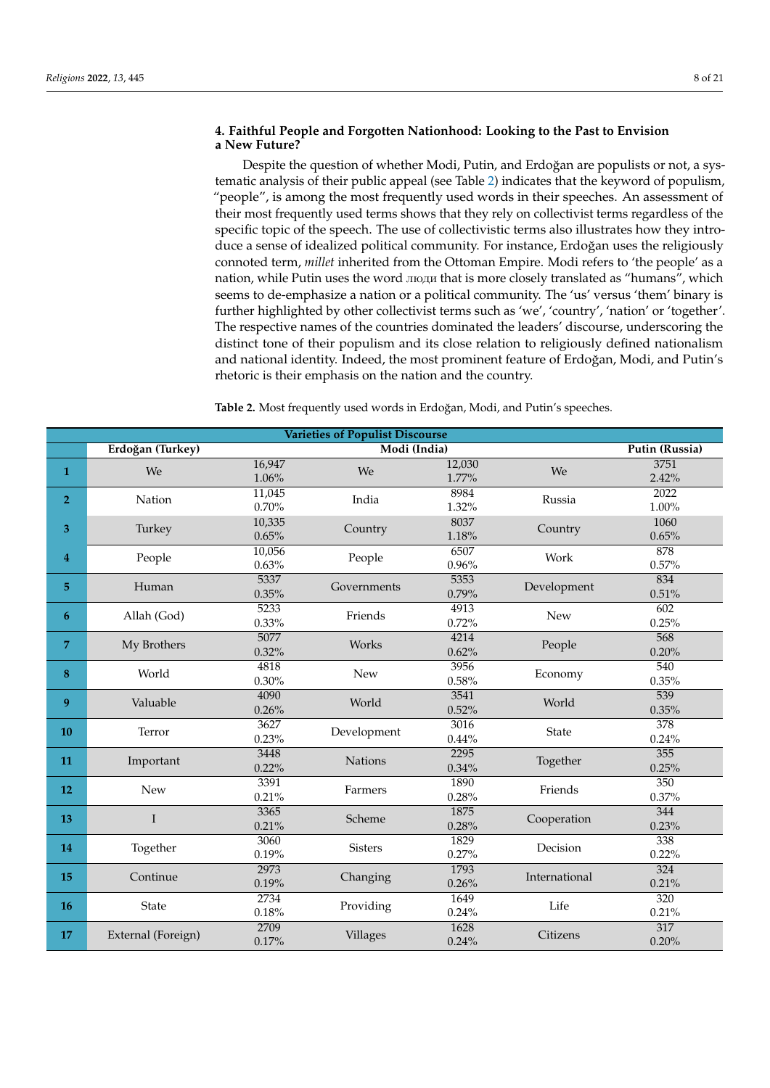## **4. Faithful People and Forgotten Nationhood: Looking to the Past to Envision a New Future?**

Despite the question of whether Modi, Putin, and Erdoğan are populists or not, a systematic analysis of their public appeal (see Table [2\)](#page-7-0) indicates that the keyword of populism, "people", is among the most frequently used words in their speeches. An assessment of their most frequently used terms shows that they rely on collectivist terms regardless of the specific topic of the speech. The use of collectivistic terms also illustrates how they introduce a sense of idealized political community. For instance, Erdoğan uses the religiously connoted term, *millet* inherited from the Ottoman Empire. Modi refers to 'the people' as a nation, while Putin uses the word люди that is more closely translated as "humans", which seems to de-emphasize a nation or a political community. The 'us' versus 'them' binary is further highlighted by other collectivist terms such as 'we', 'country', 'nation' or 'together'. The respective names of the countries dominated the leaders' discourse, underscoring the distinct tone of their populism and its close relation to religiously defined nationalism and national identity. Indeed, the most prominent feature of Erdoğan, Modi, and Putin's rhetoric is their emphasis on the nation and the country.

<span id="page-7-0"></span>Table 2. Most frequently used words in Erdoğan, Modi, and Putin's speeches.

| <b>Varieties of Populist Discourse</b> |                    |               |                |               |               |                   |
|----------------------------------------|--------------------|---------------|----------------|---------------|---------------|-------------------|
|                                        | Erdoğan (Turkey)   |               | Putin (Russia) |               |               |                   |
| $\mathbf{1}$                           | We                 | 16,947        | We             | 12,030        | We            | 3751              |
|                                        |                    | 1.06%         |                | 1.77%         |               | 2.42%             |
| 2 <sup>1</sup>                         | Nation             | 11,045        | India          | 8984          | Russia        | $\overline{2022}$ |
|                                        |                    | 0.70%         |                | 1.32%         |               | 1.00%             |
| 3                                      | Turkey             | 10,335        | Country        | 8037          | Country       | 1060              |
|                                        |                    | 0.65%         |                | 1.18%         |               | 0.65%             |
| $\overline{4}$                         | People             | 10,056        | People         | 6507          | Work          | 878               |
|                                        |                    | 0.63%         |                | 0.96%         |               | 0.57%             |
| 5 <sup>1</sup>                         | Human              | 5337          | Governments    | 5353          | Development   | 834               |
|                                        |                    | 0.35%         |                | 0.79%<br>4913 |               | 0.51%             |
| 6                                      | Allah (God)        | 5233<br>0.33% | Friends        | 0.72%         | New           | 602<br>0.25%      |
|                                        |                    | 5077          |                | 4214          |               | 568               |
| 7                                      | My Brothers        | 0.32%         | Works          | 0.62%         | People        | 0.20%             |
|                                        |                    | 4818          | New            | 3956          | Economy       | $\overline{540}$  |
| 8                                      | World              | 0.30%         |                | 0.58%         |               | 0.35%             |
|                                        |                    | 4090          | World          | 3541          | World         | 539               |
| 9                                      | Valuable           | 0.26%         |                | 0.52%         |               | 0.35%             |
|                                        | Terror             | 3627          | Development    | 3016          | <b>State</b>  | 378               |
| 10                                     |                    | 0.23%         |                | 0.44%         |               | 0.24%             |
|                                        | Important          | 3448          | <b>Nations</b> | 2295          | Together      | 355               |
| 11                                     |                    | 0.22%         |                | 0.34%         |               | 0.25%             |
|                                        |                    | 3391          |                | 1890          | Friends       | 350               |
| 12                                     | <b>New</b>         | 0.21%         | Farmers        | 0.28%         |               | 0.37%             |
| 13                                     | T                  | 3365          | Scheme         | 1875          | Cooperation   | 344               |
|                                        |                    | 0.21%         |                | 0.28%         |               | 0.23%             |
| 14                                     | Together           | 3060          | <b>Sisters</b> | 1829          | Decision      | 338               |
|                                        |                    | 0.19%         |                | 0.27%         |               | 0.22%             |
| 15                                     | Continue           | 2973          | Changing       | 1793          | International | 324               |
|                                        |                    | 0.19%         |                | 0.26%         |               | 0.21%             |
| 16                                     | State              | 2734          | Providing      | 1649          | Life          | 320               |
|                                        |                    | 0.18%         |                | 0.24%         |               | 0.21%             |
| 17                                     | External (Foreign) | 2709          | Villages       | 1628          | Citizens      | 317               |
|                                        |                    | 0.17%         |                | 0.24%         |               | 0.20%             |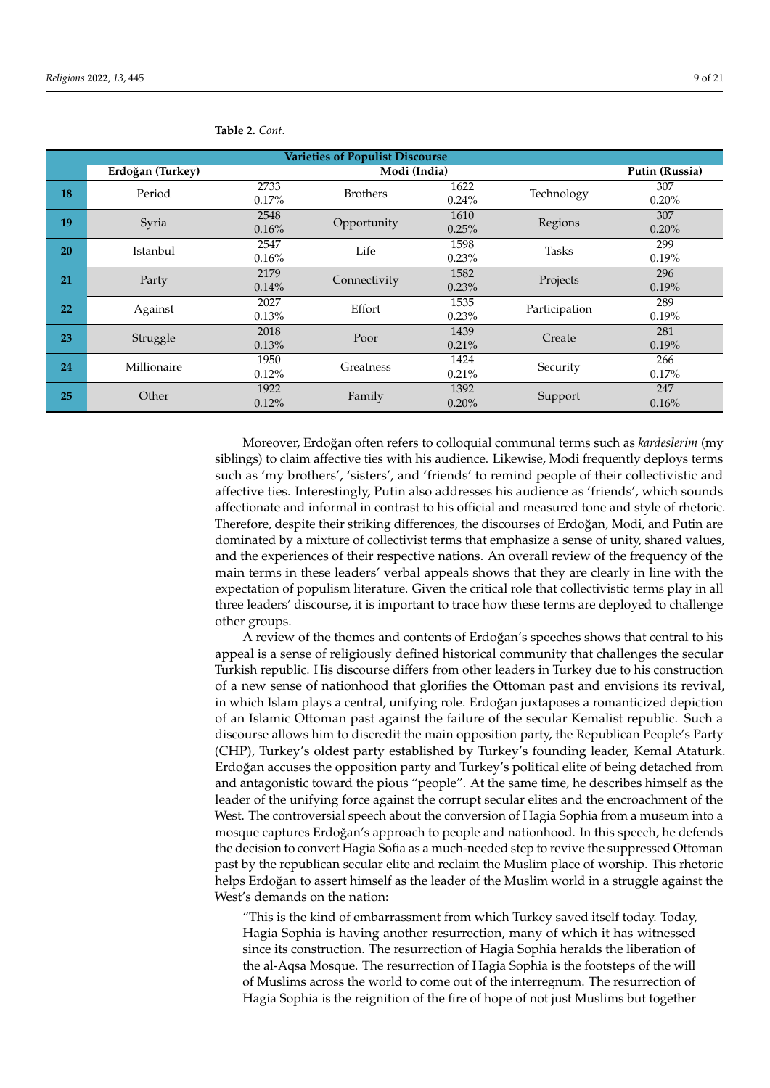| <b>Varieties of Populist Discourse</b> |                  |          |                 |          |               |       |  |
|----------------------------------------|------------------|----------|-----------------|----------|---------------|-------|--|
|                                        | Erdoğan (Turkey) |          | Putin (Russia)  |          |               |       |  |
| 18                                     | Period           | 2733     | <b>Brothers</b> | 1622     | Technology    | 307   |  |
|                                        |                  | $0.17\%$ |                 | $0.24\%$ |               | 0.20% |  |
| 19                                     | Syria            | 2548     | Opportunity     | 1610     | Regions       | 307   |  |
|                                        |                  | 0.16%    |                 | 0.25%    |               | 0.20% |  |
| 20                                     | Istanbul         | 2547     | Life            | 1598     | <b>Tasks</b>  | 299   |  |
|                                        |                  | 0.16%    |                 | 0.23%    |               | 0.19% |  |
| 21                                     | Party            | 2179     | Connectivity    | 1582     | Projects      | 296   |  |
|                                        |                  | 0.14%    |                 | 0.23%    |               | 0.19% |  |
| 22                                     | Against          | 2027     | Effort          | 1535     | Participation | 289   |  |
|                                        |                  | 0.13%    |                 | 0.23%    |               | 0.19% |  |
| 23                                     | Struggle         | 2018     | Poor            | 1439     | Create        | 281   |  |
|                                        |                  | 0.13%    |                 | 0.21%    |               | 0.19% |  |
| 24                                     | Millionaire      | 1950     | Greatness       | 1424     | Security      | 266   |  |
|                                        |                  | 0.12%    |                 | 0.21%    |               | 0.17% |  |
| 25                                     | Other            | 1922     | Family          | 1392     | Support       | 247   |  |
|                                        |                  | 0.12%    |                 | 0.20%    |               | 0.16% |  |

**Table 2.** *Cont.*

Moreover, Erdoğan often refers to colloquial communal terms such as *kardeslerim* (my siblings) to claim affective ties with his audience. Likewise, Modi frequently deploys terms such as 'my brothers', 'sisters', and 'friends' to remind people of their collectivistic and affective ties. Interestingly, Putin also addresses his audience as 'friends', which sounds affectionate and informal in contrast to his official and measured tone and style of rhetoric. Therefore, despite their striking differences, the discourses of Erdoğan, Modi, and Putin are dominated by a mixture of collectivist terms that emphasize a sense of unity, shared values, and the experiences of their respective nations. An overall review of the frequency of the main terms in these leaders' verbal appeals shows that they are clearly in line with the expectation of populism literature. Given the critical role that collectivistic terms play in all three leaders' discourse, it is important to trace how these terms are deployed to challenge other groups.

A review of the themes and contents of Erdoğan's speeches shows that central to his appeal is a sense of religiously defined historical community that challenges the secular Turkish republic. His discourse differs from other leaders in Turkey due to his construction of a new sense of nationhood that glorifies the Ottoman past and envisions its revival, in which Islam plays a central, unifying role. Erdoğan juxtaposes a romanticized depiction of an Islamic Ottoman past against the failure of the secular Kemalist republic. Such a discourse allows him to discredit the main opposition party, the Republican People's Party (CHP), Turkey's oldest party established by Turkey's founding leader, Kemal Ataturk. Erdoğan accuses the opposition party and Turkey's political elite of being detached from and antagonistic toward the pious "people". At the same time, he describes himself as the leader of the unifying force against the corrupt secular elites and the encroachment of the West. The controversial speech about the conversion of Hagia Sophia from a museum into a mosque captures Erdoğan's approach to people and nationhood. In this speech, he defends the decision to convert Hagia Sofia as a much-needed step to revive the suppressed Ottoman past by the republican secular elite and reclaim the Muslim place of worship. This rhetoric helps Erdoğan to assert himself as the leader of the Muslim world in a struggle against the West's demands on the nation:

"This is the kind of embarrassment from which Turkey saved itself today. Today, Hagia Sophia is having another resurrection, many of which it has witnessed since its construction. The resurrection of Hagia Sophia heralds the liberation of the al-Aqsa Mosque. The resurrection of Hagia Sophia is the footsteps of the will of Muslims across the world to come out of the interregnum. The resurrection of Hagia Sophia is the reignition of the fire of hope of not just Muslims but together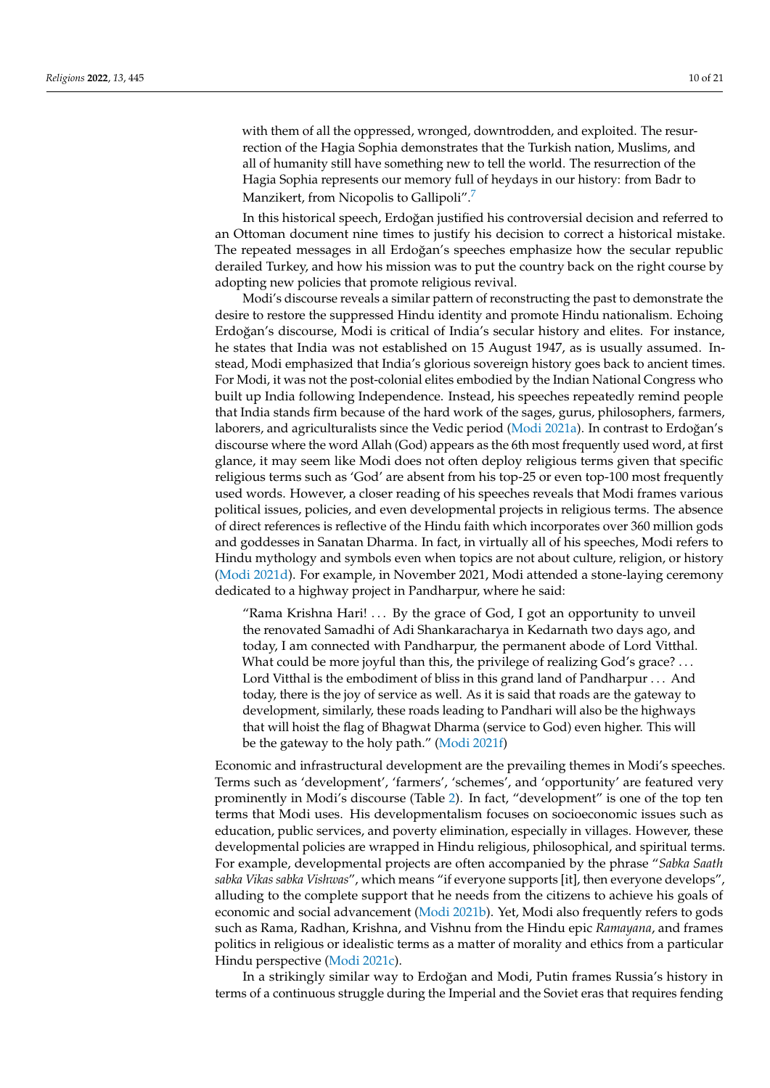<span id="page-9-0"></span>with them of all the oppressed, wronged, downtrodden, and exploited. The resurrection of the Hagia Sophia demonstrates that the Turkish nation, Muslims, and all of humanity still have something new to tell the world. The resurrection of the Hagia Sophia represents our memory full of heydays in our history: from Badr to Manzikert, from Nicopolis to Gallipoli".<sup>[7](#page-18-25)</sup>

In this historical speech, Erdoğan justified his controversial decision and referred to an Ottoman document nine times to justify his decision to correct a historical mistake. The repeated messages in all Erdoğan's speeches emphasize how the secular republic derailed Turkey, and how his mission was to put the country back on the right course by adopting new policies that promote religious revival.

Modi's discourse reveals a similar pattern of reconstructing the past to demonstrate the desire to restore the suppressed Hindu identity and promote Hindu nationalism. Echoing Erdoğan's discourse, Modi is critical of India's secular history and elites. For instance, he states that India was not established on 15 August 1947, as is usually assumed. Instead, Modi emphasized that India's glorious sovereign history goes back to ancient times. For Modi, it was not the post-colonial elites embodied by the Indian National Congress who built up India following Independence. Instead, his speeches repeatedly remind people that India stands firm because of the hard work of the sages, gurus, philosophers, farmers, laborers, and agriculturalists since the Vedic period [\(Modi](#page-19-22) [2021a\)](#page-19-22). In contrast to Erdoğan's discourse where the word Allah (God) appears as the 6th most frequently used word, at first glance, it may seem like Modi does not often deploy religious terms given that specific religious terms such as 'God' are absent from his top-25 or even top-100 most frequently used words. However, a closer reading of his speeches reveals that Modi frames various political issues, policies, and even developmental projects in religious terms. The absence of direct references is reflective of the Hindu faith which incorporates over 360 million gods and goddesses in Sanatan Dharma. In fact, in virtually all of his speeches, Modi refers to Hindu mythology and symbols even when topics are not about culture, religion, or history [\(Modi](#page-19-23) [2021d\)](#page-19-23). For example, in November 2021, Modi attended a stone-laying ceremony dedicated to a highway project in Pandharpur, where he said:

"Rama Krishna Hari! . . . By the grace of God, I got an opportunity to unveil the renovated Samadhi of Adi Shankaracharya in Kedarnath two days ago, and today, I am connected with Pandharpur, the permanent abode of Lord Vitthal. What could be more joyful than this, the privilege of realizing God's grace? ... Lord Vitthal is the embodiment of bliss in this grand land of Pandharpur . . . And today, there is the joy of service as well. As it is said that roads are the gateway to development, similarly, these roads leading to Pandhari will also be the highways that will hoist the flag of Bhagwat Dharma (service to God) even higher. This will be the gateway to the holy path." [\(Modi](#page-19-24) [2021f\)](#page-19-24)

Economic and infrastructural development are the prevailing themes in Modi's speeches. Terms such as 'development', 'farmers', 'schemes', and 'opportunity' are featured very prominently in Modi's discourse (Table [2\)](#page-7-0). In fact, "development" is one of the top ten terms that Modi uses. His developmentalism focuses on socioeconomic issues such as education, public services, and poverty elimination, especially in villages. However, these developmental policies are wrapped in Hindu religious, philosophical, and spiritual terms. For example, developmental projects are often accompanied by the phrase "*Sabka Saath sabka Vikas sabka Vishwas*", which means "if everyone supports [it], then everyone develops", alluding to the complete support that he needs from the citizens to achieve his goals of economic and social advancement [\(Modi](#page-19-25) [2021b\)](#page-19-25). Yet, Modi also frequently refers to gods such as Rama, Radhan, Krishna, and Vishnu from the Hindu epic *Ramayana*, and frames politics in religious or idealistic terms as a matter of morality and ethics from a particular Hindu perspective [\(Modi](#page-19-26) [2021c\)](#page-19-26).

In a strikingly similar way to Erdoğan and Modi, Putin frames Russia's history in terms of a continuous struggle during the Imperial and the Soviet eras that requires fending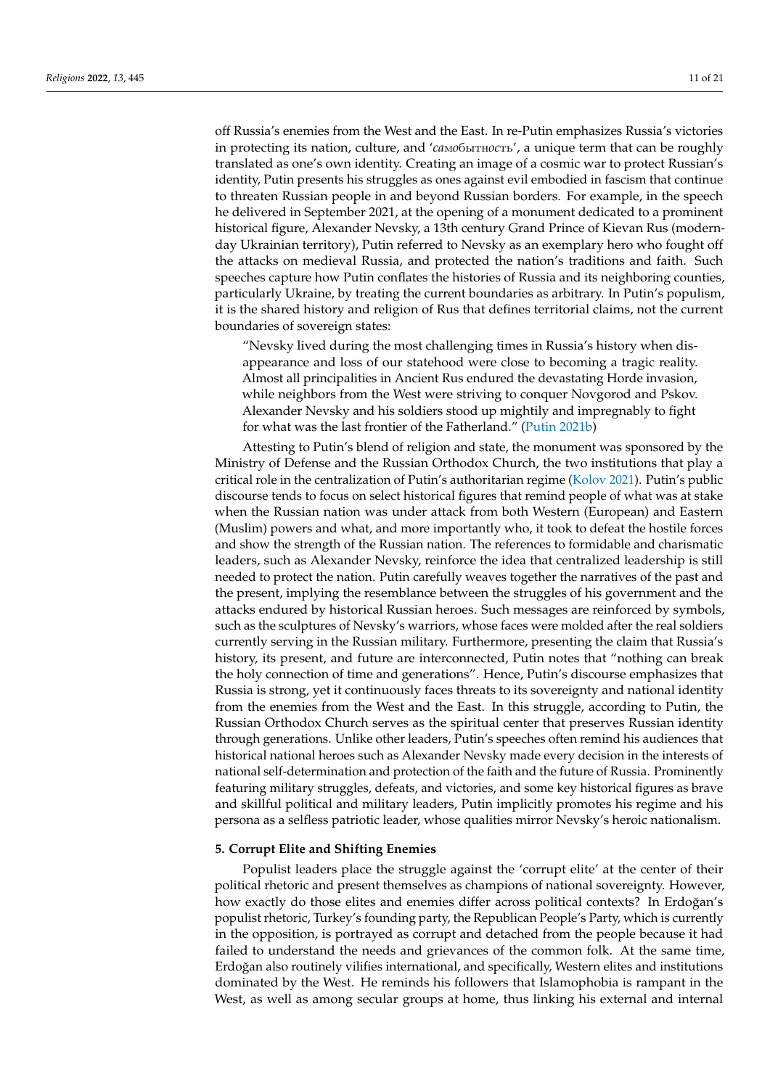off Russia's enemies from the West and the East. In re-Putin emphasizes Russia's victories in protecting its nation, culture, and '*ca*м*o*бытн*oc*ть', a unique term that can be roughly translated as one's own identity. Creating an image of a cosmic war to protect Russian's identity, Putin presents his struggles as ones against evil embodied in fascism that continue to threaten Russian people in and beyond Russian borders. For example, in the speech he delivered in September 2021, at the opening of a monument dedicated to a prominent historical figure, Alexander Nevsky, a 13th century Grand Prince of Kievan Rus (modernday Ukrainian territory), Putin referred to Nevsky as an exemplary hero who fought off the attacks on medieval Russia, and protected the nation's traditions and faith. Such speeches capture how Putin conflates the histories of Russia and its neighboring counties, particularly Ukraine, by treating the current boundaries as arbitrary. In Putin's populism, it is the shared history and religion of Rus that defines territorial claims, not the current boundaries of sovereign states:

"Nevsky lived during the most challenging times in Russia's history when disappearance and loss of our statehood were close to becoming a tragic reality. Almost all principalities in Ancient Rus endured the devastating Horde invasion, while neighbors from the West were striving to conquer Novgorod and Pskov. Alexander Nevsky and his soldiers stood up mightily and impregnably to fight for what was the last frontier of the Fatherland." [\(Putin](#page-20-17) [2021b\)](#page-20-17)

Attesting to Putin's blend of religion and state, the monument was sponsored by the Ministry of Defense and the Russian Orthodox Church, the two institutions that play a critical role in the centralization of Putin's authoritarian regime [\(Kolov](#page-19-27) [2021\)](#page-19-27). Putin's public discourse tends to focus on select historical figures that remind people of what was at stake when the Russian nation was under attack from both Western (European) and Eastern (Muslim) powers and what, and more importantly who, it took to defeat the hostile forces and show the strength of the Russian nation. The references to formidable and charismatic leaders, such as Alexander Nevsky, reinforce the idea that centralized leadership is still needed to protect the nation. Putin carefully weaves together the narratives of the past and the present, implying the resemblance between the struggles of his government and the attacks endured by historical Russian heroes. Such messages are reinforced by symbols, such as the sculptures of Nevsky's warriors, whose faces were molded after the real soldiers currently serving in the Russian military. Furthermore, presenting the claim that Russia's history, its present, and future are interconnected, Putin notes that "nothing can break the holy connection of time and generations". Hence, Putin's discourse emphasizes that Russia is strong, yet it continuously faces threats to its sovereignty and national identity from the enemies from the West and the East. In this struggle, according to Putin, the Russian Orthodox Church serves as the spiritual center that preserves Russian identity through generations. Unlike other leaders, Putin's speeches often remind his audiences that historical national heroes such as Alexander Nevsky made every decision in the interests of national self-determination and protection of the faith and the future of Russia. Prominently featuring military struggles, defeats, and victories, and some key historical figures as brave and skillful political and military leaders, Putin implicitly promotes his regime and his persona as a selfless patriotic leader, whose qualities mirror Nevsky's heroic nationalism.

#### **5. Corrupt Elite and Shifting Enemies**

Populist leaders place the struggle against the 'corrupt elite' at the center of their political rhetoric and present themselves as champions of national sovereignty. However, how exactly do those elites and enemies differ across political contexts? In Erdoğan's populist rhetoric, Turkey's founding party, the Republican People's Party, which is currently in the opposition, is portrayed as corrupt and detached from the people because it had failed to understand the needs and grievances of the common folk. At the same time, Erdoğan also routinely vilifies international, and specifically, Western elites and institutions dominated by the West. He reminds his followers that Islamophobia is rampant in the West, as well as among secular groups at home, thus linking his external and internal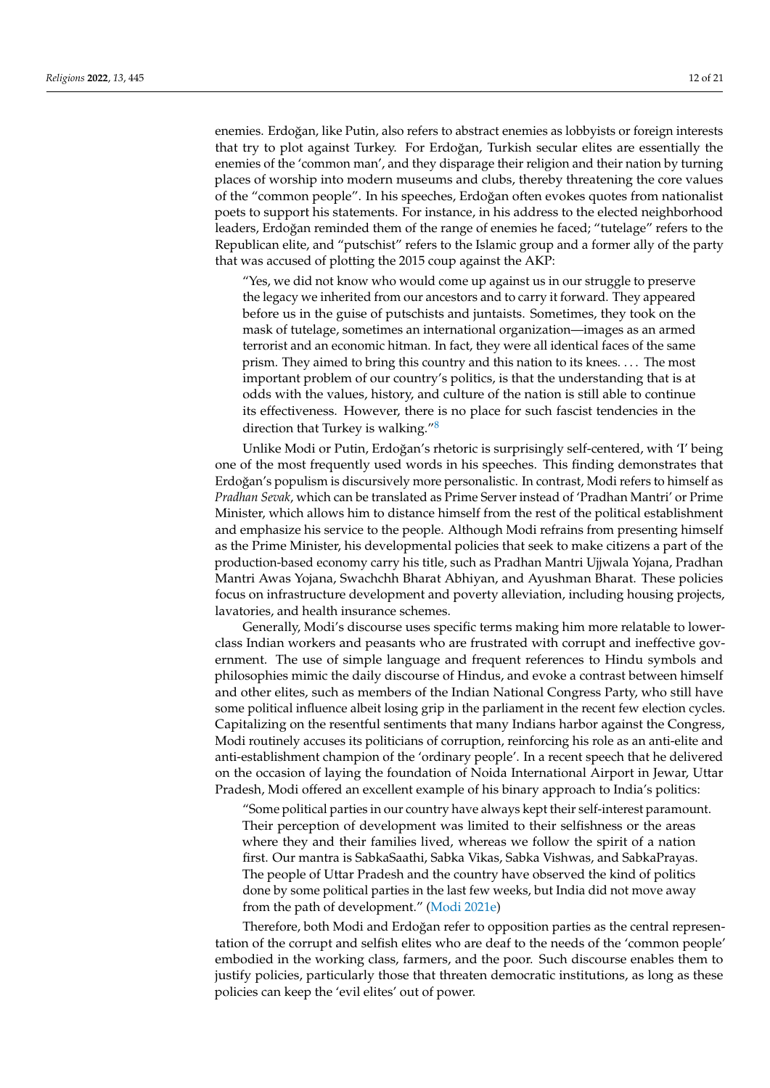enemies. Erdoğan, like Putin, also refers to abstract enemies as lobbyists or foreign interests that try to plot against Turkey. For Erdoğan, Turkish secular elites are essentially the enemies of the 'common man', and they disparage their religion and their nation by turning places of worship into modern museums and clubs, thereby threatening the core values of the "common people". In his speeches, Erdoğan often evokes quotes from nationalist poets to support his statements. For instance, in his address to the elected neighborhood leaders, Erdoğan reminded them of the range of enemies he faced; "tutelage" refers to the Republican elite, and "putschist" refers to the Islamic group and a former ally of the party that was accused of plotting the 2015 coup against the AKP:

"Yes, we did not know who would come up against us in our struggle to preserve the legacy we inherited from our ancestors and to carry it forward. They appeared before us in the guise of putschists and juntaists. Sometimes, they took on the mask of tutelage, sometimes an international organization—images as an armed terrorist and an economic hitman. In fact, they were all identical faces of the same prism. They aimed to bring this country and this nation to its knees. . . . The most important problem of our country's politics, is that the understanding that is at odds with the values, history, and culture of the nation is still able to continue its effectiveness. However, there is no place for such fascist tendencies in the direction that Turkey is walking."[8](#page-18-26)

<span id="page-11-0"></span>Unlike Modi or Putin, Erdoğan's rhetoric is surprisingly self-centered, with 'I' being one of the most frequently used words in his speeches. This finding demonstrates that Erdoğan's populism is discursively more personalistic. In contrast, Modi refers to himself as *Pradhan Sevak*, which can be translated as Prime Server instead of 'Pradhan Mantri' or Prime Minister, which allows him to distance himself from the rest of the political establishment and emphasize his service to the people. Although Modi refrains from presenting himself as the Prime Minister, his developmental policies that seek to make citizens a part of the production-based economy carry his title, such as Pradhan Mantri Ujjwala Yojana, Pradhan Mantri Awas Yojana, Swachchh Bharat Abhiyan, and Ayushman Bharat. These policies focus on infrastructure development and poverty alleviation, including housing projects, lavatories, and health insurance schemes.

Generally, Modi's discourse uses specific terms making him more relatable to lowerclass Indian workers and peasants who are frustrated with corrupt and ineffective government. The use of simple language and frequent references to Hindu symbols and philosophies mimic the daily discourse of Hindus, and evoke a contrast between himself and other elites, such as members of the Indian National Congress Party, who still have some political influence albeit losing grip in the parliament in the recent few election cycles. Capitalizing on the resentful sentiments that many Indians harbor against the Congress, Modi routinely accuses its politicians of corruption, reinforcing his role as an anti-elite and anti-establishment champion of the 'ordinary people'. In a recent speech that he delivered on the occasion of laying the foundation of Noida International Airport in Jewar, Uttar Pradesh, Modi offered an excellent example of his binary approach to India's politics:

"Some political parties in our country have always kept their self-interest paramount. Their perception of development was limited to their selfishness or the areas where they and their families lived, whereas we follow the spirit of a nation first. Our mantra is SabkaSaathi, Sabka Vikas, Sabka Vishwas, and SabkaPrayas. The people of Uttar Pradesh and the country have observed the kind of politics done by some political parties in the last few weeks, but India did not move away from the path of development." [\(Modi](#page-19-28) [2021e\)](#page-19-28)

Therefore, both Modi and Erdoğan refer to opposition parties as the central representation of the corrupt and selfish elites who are deaf to the needs of the 'common people' embodied in the working class, farmers, and the poor. Such discourse enables them to justify policies, particularly those that threaten democratic institutions, as long as these policies can keep the 'evil elites' out of power.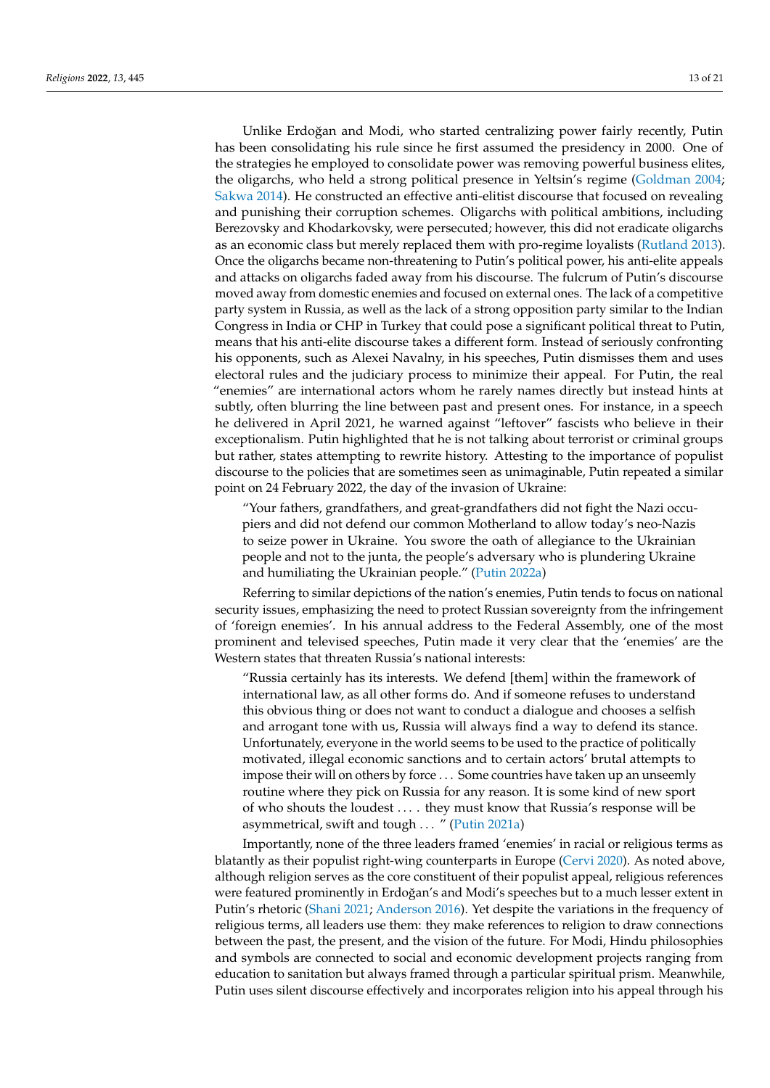Unlike Erdoğan and Modi, who started centralizing power fairly recently, Putin has been consolidating his rule since he first assumed the presidency in 2000. One of the strategies he employed to consolidate power was removing powerful business elites, the oligarchs, who held a strong political presence in Yeltsin's regime [\(Goldman](#page-19-29) [2004;](#page-19-29) [Sakwa](#page-20-18) [2014\)](#page-20-18). He constructed an effective anti-elitist discourse that focused on revealing and punishing their corruption schemes. Oligarchs with political ambitions, including Berezovsky and Khodarkovsky, were persecuted; however, this did not eradicate oligarchs as an economic class but merely replaced them with pro-regime loyalists [\(Rutland](#page-20-19) [2013\)](#page-20-19). Once the oligarchs became non-threatening to Putin's political power, his anti-elite appeals and attacks on oligarchs faded away from his discourse. The fulcrum of Putin's discourse moved away from domestic enemies and focused on external ones. The lack of a competitive party system in Russia, as well as the lack of a strong opposition party similar to the Indian Congress in India or CHP in Turkey that could pose a significant political threat to Putin, means that his anti-elite discourse takes a different form. Instead of seriously confronting his opponents, such as Alexei Navalny, in his speeches, Putin dismisses them and uses electoral rules and the judiciary process to minimize their appeal. For Putin, the real "enemies" are international actors whom he rarely names directly but instead hints at subtly, often blurring the line between past and present ones. For instance, in a speech he delivered in April 2021, he warned against "leftover" fascists who believe in their exceptionalism. Putin highlighted that he is not talking about terrorist or criminal groups but rather, states attempting to rewrite history. Attesting to the importance of populist discourse to the policies that are sometimes seen as unimaginable, Putin repeated a similar point on 24 February 2022, the day of the invasion of Ukraine:

"Your fathers, grandfathers, and great-grandfathers did not fight the Nazi occupiers and did not defend our common Motherland to allow today's neo-Nazis to seize power in Ukraine. You swore the oath of allegiance to the Ukrainian people and not to the junta, the people's adversary who is plundering Ukraine and humiliating the Ukrainian people." [\(Putin](#page-20-20) [2022a\)](#page-20-20)

Referring to similar depictions of the nation's enemies, Putin tends to focus on national security issues, emphasizing the need to protect Russian sovereignty from the infringement of 'foreign enemies'. In his annual address to the Federal Assembly, one of the most prominent and televised speeches, Putin made it very clear that the 'enemies' are the Western states that threaten Russia's national interests:

"Russia certainly has its interests. We defend [them] within the framework of international law, as all other forms do. And if someone refuses to understand this obvious thing or does not want to conduct a dialogue and chooses a selfish and arrogant tone with us, Russia will always find a way to defend its stance. Unfortunately, everyone in the world seems to be used to the practice of politically motivated, illegal economic sanctions and to certain actors' brutal attempts to impose their will on others by force . . . Some countries have taken up an unseemly routine where they pick on Russia for any reason. It is some kind of new sport of who shouts the loudest . . . . they must know that Russia's response will be asymmetrical, swift and tough . . . " [\(Putin](#page-20-21) [2021a\)](#page-20-21)

Importantly, none of the three leaders framed 'enemies' in racial or religious terms as blatantly as their populist right-wing counterparts in Europe [\(Cervi](#page-18-27) [2020\)](#page-18-27). As noted above, although religion serves as the core constituent of their populist appeal, religious references were featured prominently in Erdoğan's and Modi's speeches but to a much lesser extent in Putin's rhetoric [\(Shani](#page-20-22) [2021;](#page-20-22) [Anderson](#page-18-28) [2016\)](#page-18-28). Yet despite the variations in the frequency of religious terms, all leaders use them: they make references to religion to draw connections between the past, the present, and the vision of the future. For Modi, Hindu philosophies and symbols are connected to social and economic development projects ranging from education to sanitation but always framed through a particular spiritual prism. Meanwhile, Putin uses silent discourse effectively and incorporates religion into his appeal through his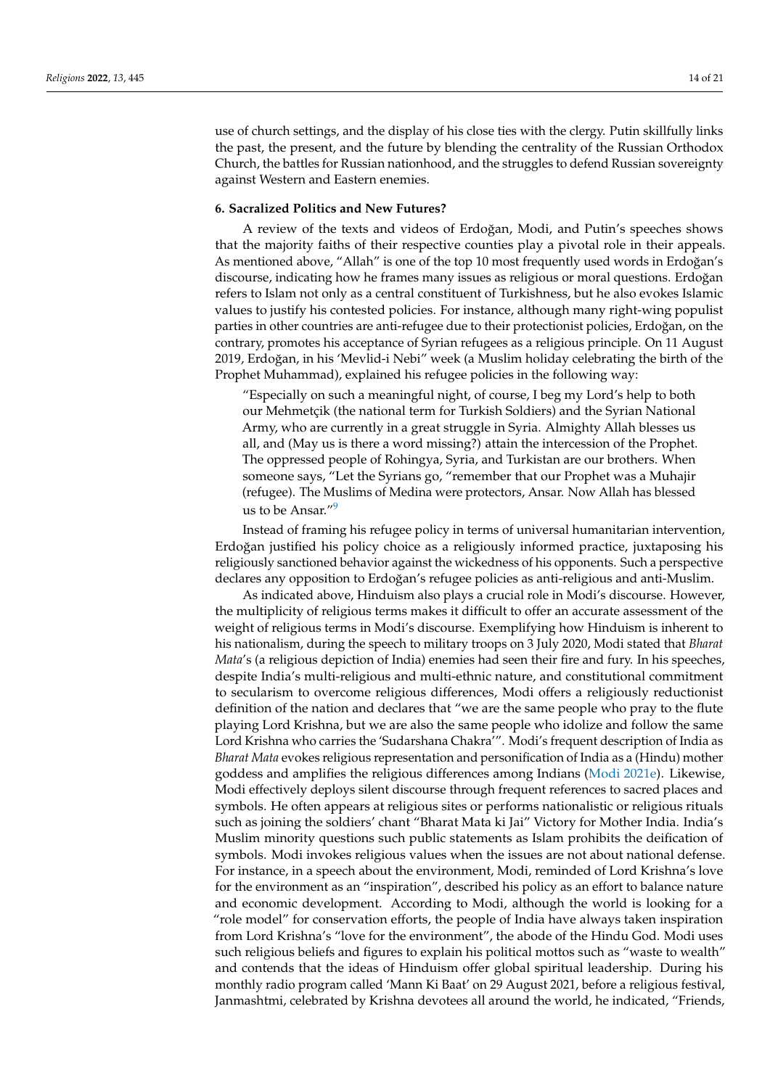use of church settings, and the display of his close ties with the clergy. Putin skillfully links the past, the present, and the future by blending the centrality of the Russian Orthodox Church, the battles for Russian nationhood, and the struggles to defend Russian sovereignty against Western and Eastern enemies.

#### **6. Sacralized Politics and New Futures?**

A review of the texts and videos of Erdoğan, Modi, and Putin's speeches shows that the majority faiths of their respective counties play a pivotal role in their appeals. As mentioned above, "Allah" is one of the top 10 most frequently used words in Erdoğan's discourse, indicating how he frames many issues as religious or moral questions. Erdoğan refers to Islam not only as a central constituent of Turkishness, but he also evokes Islamic values to justify his contested policies. For instance, although many right-wing populist parties in other countries are anti-refugee due to their protectionist policies, Erdoğan, on the contrary, promotes his acceptance of Syrian refugees as a religious principle. On 11 August 2019, Erdoğan, in his 'Mevlid-i Nebi" week (a Muslim holiday celebrating the birth of the Prophet Muhammad), explained his refugee policies in the following way:

"Especially on such a meaningful night, of course, I beg my Lord's help to both our Mehmetçik (the national term for Turkish Soldiers) and the Syrian National Army, who are currently in a great struggle in Syria. Almighty Allah blesses us all, and (May us is there a word missing?) attain the intercession of the Prophet. The oppressed people of Rohingya, Syria, and Turkistan are our brothers. When someone says, "Let the Syrians go, "remember that our Prophet was a Muhajir (refugee). The Muslims of Medina were protectors, Ansar. Now Allah has blessed us to be Ansar."<sup>[9](#page-18-29)</sup>

<span id="page-13-0"></span>Instead of framing his refugee policy in terms of universal humanitarian intervention, Erdoğan justified his policy choice as a religiously informed practice, juxtaposing his religiously sanctioned behavior against the wickedness of his opponents. Such a perspective declares any opposition to Erdoğan's refugee policies as anti-religious and anti-Muslim.

As indicated above, Hinduism also plays a crucial role in Modi's discourse. However, the multiplicity of religious terms makes it difficult to offer an accurate assessment of the weight of religious terms in Modi's discourse. Exemplifying how Hinduism is inherent to his nationalism, during the speech to military troops on 3 July 2020, Modi stated that *Bharat Mata*'s (a religious depiction of India) enemies had seen their fire and fury. In his speeches, despite India's multi-religious and multi-ethnic nature, and constitutional commitment to secularism to overcome religious differences, Modi offers a religiously reductionist definition of the nation and declares that "we are the same people who pray to the flute playing Lord Krishna, but we are also the same people who idolize and follow the same Lord Krishna who carries the 'Sudarshana Chakra'". Modi's frequent description of India as *Bharat Mata* evokes religious representation and personification of India as a (Hindu) mother goddess and amplifies the religious differences among Indians [\(Modi](#page-19-28) [2021e\)](#page-19-28). Likewise, Modi effectively deploys silent discourse through frequent references to sacred places and symbols. He often appears at religious sites or performs nationalistic or religious rituals such as joining the soldiers' chant "Bharat Mata ki Jai" Victory for Mother India. India's Muslim minority questions such public statements as Islam prohibits the deification of symbols. Modi invokes religious values when the issues are not about national defense. For instance, in a speech about the environment, Modi, reminded of Lord Krishna's love for the environment as an "inspiration", described his policy as an effort to balance nature and economic development. According to Modi, although the world is looking for a "role model" for conservation efforts, the people of India have always taken inspiration from Lord Krishna's "love for the environment", the abode of the Hindu God. Modi uses such religious beliefs and figures to explain his political mottos such as "waste to wealth" and contends that the ideas of Hinduism offer global spiritual leadership. During his monthly radio program called 'Mann Ki Baat' on 29 August 2021, before a religious festival, Janmashtmi, celebrated by Krishna devotees all around the world, he indicated, "Friends,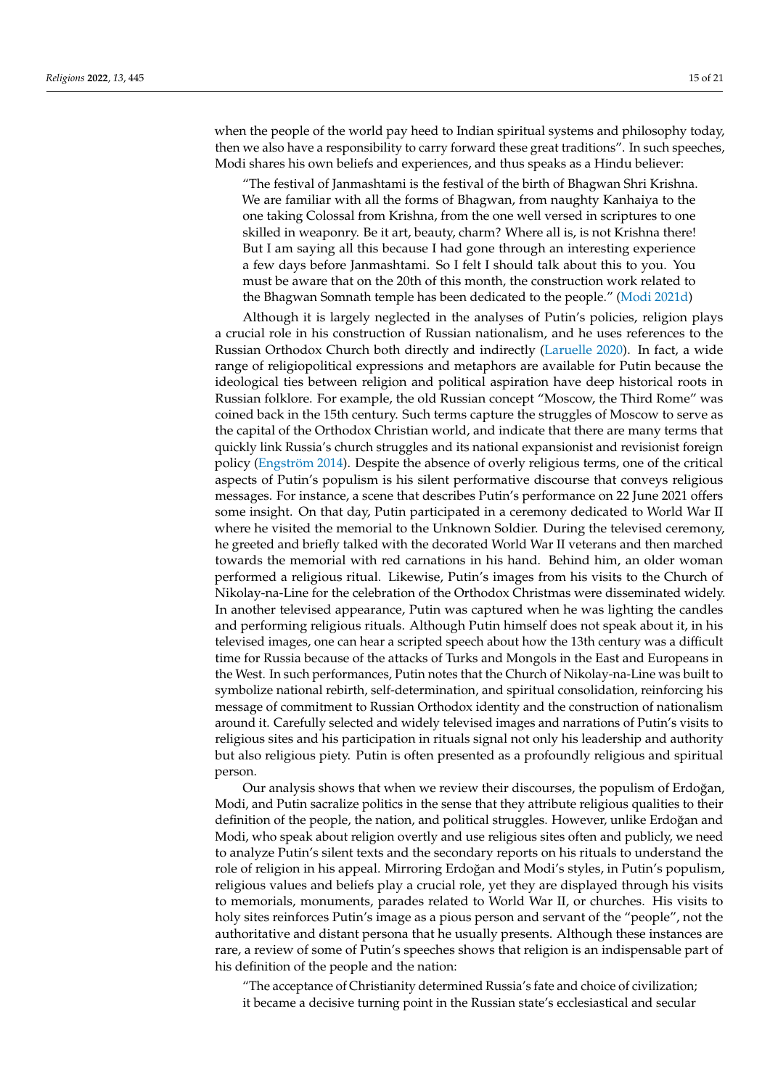when the people of the world pay heed to Indian spiritual systems and philosophy today, then we also have a responsibility to carry forward these great traditions". In such speeches, Modi shares his own beliefs and experiences, and thus speaks as a Hindu believer:

"The festival of Janmashtami is the festival of the birth of Bhagwan Shri Krishna. We are familiar with all the forms of Bhagwan, from naughty Kanhaiya to the one taking Colossal from Krishna, from the one well versed in scriptures to one skilled in weaponry. Be it art, beauty, charm? Where all is, is not Krishna there! But I am saying all this because I had gone through an interesting experience a few days before Janmashtami. So I felt I should talk about this to you. You must be aware that on the 20th of this month, the construction work related to the Bhagwan Somnath temple has been dedicated to the people." [\(Modi](#page-19-23) [2021d\)](#page-19-23)

Although it is largely neglected in the analyses of Putin's policies, religion plays a crucial role in his construction of Russian nationalism, and he uses references to the Russian Orthodox Church both directly and indirectly [\(Laruelle](#page-19-30) [2020\)](#page-19-30). In fact, a wide range of religiopolitical expressions and metaphors are available for Putin because the ideological ties between religion and political aspiration have deep historical roots in Russian folklore. For example, the old Russian concept "Moscow, the Third Rome" was coined back in the 15th century. Such terms capture the struggles of Moscow to serve as the capital of the Orthodox Christian world, and indicate that there are many terms that quickly link Russia's church struggles and its national expansionist and revisionist foreign policy [\(Engström](#page-18-30) [2014\)](#page-18-30). Despite the absence of overly religious terms, one of the critical aspects of Putin's populism is his silent performative discourse that conveys religious messages. For instance, a scene that describes Putin's performance on 22 June 2021 offers some insight. On that day, Putin participated in a ceremony dedicated to World War II where he visited the memorial to the Unknown Soldier. During the televised ceremony, he greeted and briefly talked with the decorated World War II veterans and then marched towards the memorial with red carnations in his hand. Behind him, an older woman performed a religious ritual. Likewise, Putin's images from his visits to the Church of Nikolay-na-Line for the celebration of the Orthodox Christmas were disseminated widely. In another televised appearance, Putin was captured when he was lighting the candles and performing religious rituals. Although Putin himself does not speak about it, in his televised images, one can hear a scripted speech about how the 13th century was a difficult time for Russia because of the attacks of Turks and Mongols in the East and Europeans in the West. In such performances, Putin notes that the Church of Nikolay-na-Line was built to symbolize national rebirth, self-determination, and spiritual consolidation, reinforcing his message of commitment to Russian Orthodox identity and the construction of nationalism around it. Carefully selected and widely televised images and narrations of Putin's visits to religious sites and his participation in rituals signal not only his leadership and authority but also religious piety. Putin is often presented as a profoundly religious and spiritual person.

Our analysis shows that when we review their discourses, the populism of Erdoğan, Modi, and Putin sacralize politics in the sense that they attribute religious qualities to their definition of the people, the nation, and political struggles. However, unlike Erdoğan and Modi, who speak about religion overtly and use religious sites often and publicly, we need to analyze Putin's silent texts and the secondary reports on his rituals to understand the role of religion in his appeal. Mirroring Erdoğan and Modi's styles, in Putin's populism, religious values and beliefs play a crucial role, yet they are displayed through his visits to memorials, monuments, parades related to World War II, or churches. His visits to holy sites reinforces Putin's image as a pious person and servant of the "people", not the authoritative and distant persona that he usually presents. Although these instances are rare, a review of some of Putin's speeches shows that religion is an indispensable part of his definition of the people and the nation:

"The acceptance of Christianity determined Russia's fate and choice of civilization; it became a decisive turning point in the Russian state's ecclesiastical and secular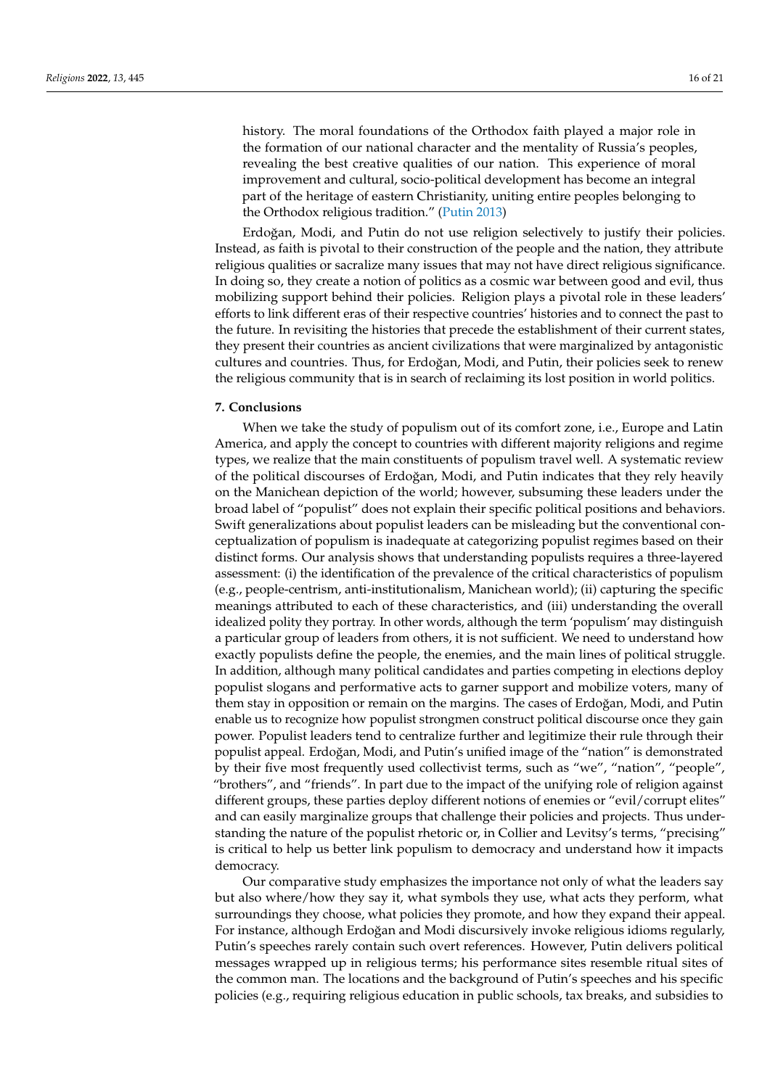history. The moral foundations of the Orthodox faith played a major role in the formation of our national character and the mentality of Russia's peoples, revealing the best creative qualities of our nation. This experience of moral improvement and cultural, socio-political development has become an integral part of the heritage of eastern Christianity, uniting entire peoples belonging to the Orthodox religious tradition." [\(Putin](#page-20-23) [2013\)](#page-20-23)

Erdoğan, Modi, and Putin do not use religion selectively to justify their policies. Instead, as faith is pivotal to their construction of the people and the nation, they attribute religious qualities or sacralize many issues that may not have direct religious significance. In doing so, they create a notion of politics as a cosmic war between good and evil, thus mobilizing support behind their policies. Religion plays a pivotal role in these leaders' efforts to link different eras of their respective countries' histories and to connect the past to the future. In revisiting the histories that precede the establishment of their current states, they present their countries as ancient civilizations that were marginalized by antagonistic cultures and countries. Thus, for Erdoğan, Modi, and Putin, their policies seek to renew the religious community that is in search of reclaiming its lost position in world politics.

## **7. Conclusions**

When we take the study of populism out of its comfort zone, i.e., Europe and Latin America, and apply the concept to countries with different majority religions and regime types, we realize that the main constituents of populism travel well. A systematic review of the political discourses of Erdoğan, Modi, and Putin indicates that they rely heavily on the Manichean depiction of the world; however, subsuming these leaders under the broad label of "populist" does not explain their specific political positions and behaviors. Swift generalizations about populist leaders can be misleading but the conventional conceptualization of populism is inadequate at categorizing populist regimes based on their distinct forms. Our analysis shows that understanding populists requires a three-layered assessment: (i) the identification of the prevalence of the critical characteristics of populism (e.g., people-centrism, anti-institutionalism, Manichean world); (ii) capturing the specific meanings attributed to each of these characteristics, and (iii) understanding the overall idealized polity they portray. In other words, although the term 'populism' may distinguish a particular group of leaders from others, it is not sufficient. We need to understand how exactly populists define the people, the enemies, and the main lines of political struggle. In addition, although many political candidates and parties competing in elections deploy populist slogans and performative acts to garner support and mobilize voters, many of them stay in opposition or remain on the margins. The cases of Erdoğan, Modi, and Putin enable us to recognize how populist strongmen construct political discourse once they gain power. Populist leaders tend to centralize further and legitimize their rule through their populist appeal. Erdoğan, Modi, and Putin's unified image of the "nation" is demonstrated by their five most frequently used collectivist terms, such as "we", "nation", "people", "brothers", and "friends". In part due to the impact of the unifying role of religion against different groups, these parties deploy different notions of enemies or "evil/corrupt elites" and can easily marginalize groups that challenge their policies and projects. Thus understanding the nature of the populist rhetoric or, in Collier and Levitsy's terms, "precising" is critical to help us better link populism to democracy and understand how it impacts democracy.

Our comparative study emphasizes the importance not only of what the leaders say but also where/how they say it, what symbols they use, what acts they perform, what surroundings they choose, what policies they promote, and how they expand their appeal. For instance, although Erdoğan and Modi discursively invoke religious idioms regularly, Putin's speeches rarely contain such overt references. However, Putin delivers political messages wrapped up in religious terms; his performance sites resemble ritual sites of the common man. The locations and the background of Putin's speeches and his specific policies (e.g., requiring religious education in public schools, tax breaks, and subsidies to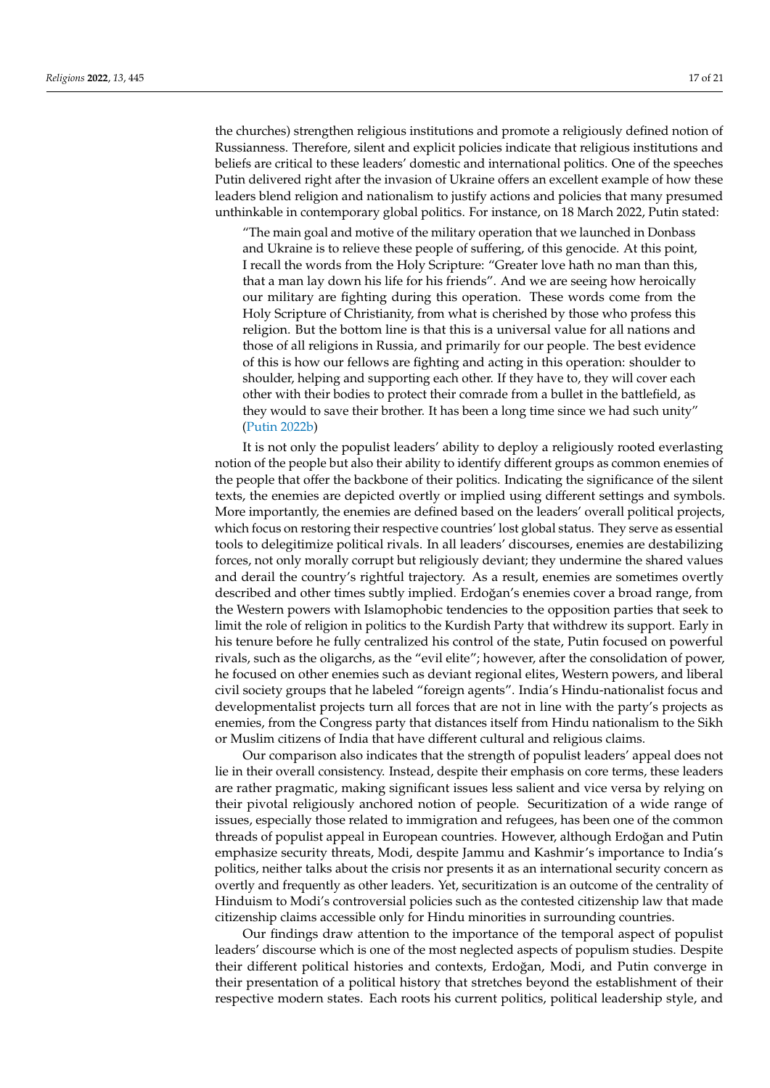the churches) strengthen religious institutions and promote a religiously defined notion of Russianness. Therefore, silent and explicit policies indicate that religious institutions and beliefs are critical to these leaders' domestic and international politics. One of the speeches Putin delivered right after the invasion of Ukraine offers an excellent example of how these leaders blend religion and nationalism to justify actions and policies that many presumed unthinkable in contemporary global politics. For instance, on 18 March 2022, Putin stated:

"The main goal and motive of the military operation that we launched in Donbass and Ukraine is to relieve these people of suffering, of this genocide. At this point, I recall the words from the Holy Scripture: "Greater love hath no man than this, that a man lay down his life for his friends". And we are seeing how heroically our military are fighting during this operation. These words come from the Holy Scripture of Christianity, from what is cherished by those who profess this religion. But the bottom line is that this is a universal value for all nations and those of all religions in Russia, and primarily for our people. The best evidence of this is how our fellows are fighting and acting in this operation: shoulder to shoulder, helping and supporting each other. If they have to, they will cover each other with their bodies to protect their comrade from a bullet in the battlefield, as they would to save their brother. It has been a long time since we had such unity" [\(Putin](#page-20-24) [2022b\)](#page-20-24)

It is not only the populist leaders' ability to deploy a religiously rooted everlasting notion of the people but also their ability to identify different groups as common enemies of the people that offer the backbone of their politics. Indicating the significance of the silent texts, the enemies are depicted overtly or implied using different settings and symbols. More importantly, the enemies are defined based on the leaders' overall political projects, which focus on restoring their respective countries' lost global status. They serve as essential tools to delegitimize political rivals. In all leaders' discourses, enemies are destabilizing forces, not only morally corrupt but religiously deviant; they undermine the shared values and derail the country's rightful trajectory. As a result, enemies are sometimes overtly described and other times subtly implied. Erdoğan's enemies cover a broad range, from the Western powers with Islamophobic tendencies to the opposition parties that seek to limit the role of religion in politics to the Kurdish Party that withdrew its support. Early in his tenure before he fully centralized his control of the state, Putin focused on powerful rivals, such as the oligarchs, as the "evil elite"; however, after the consolidation of power, he focused on other enemies such as deviant regional elites, Western powers, and liberal civil society groups that he labeled "foreign agents". India's Hindu-nationalist focus and developmentalist projects turn all forces that are not in line with the party's projects as enemies, from the Congress party that distances itself from Hindu nationalism to the Sikh or Muslim citizens of India that have different cultural and religious claims.

Our comparison also indicates that the strength of populist leaders' appeal does not lie in their overall consistency. Instead, despite their emphasis on core terms, these leaders are rather pragmatic, making significant issues less salient and vice versa by relying on their pivotal religiously anchored notion of people. Securitization of a wide range of issues, especially those related to immigration and refugees, has been one of the common threads of populist appeal in European countries. However, although Erdoğan and Putin emphasize security threats, Modi, despite Jammu and Kashmir's importance to India's politics, neither talks about the crisis nor presents it as an international security concern as overtly and frequently as other leaders. Yet, securitization is an outcome of the centrality of Hinduism to Modi's controversial policies such as the contested citizenship law that made citizenship claims accessible only for Hindu minorities in surrounding countries.

Our findings draw attention to the importance of the temporal aspect of populist leaders' discourse which is one of the most neglected aspects of populism studies. Despite their different political histories and contexts, Erdoğan, Modi, and Putin converge in their presentation of a political history that stretches beyond the establishment of their respective modern states. Each roots his current politics, political leadership style, and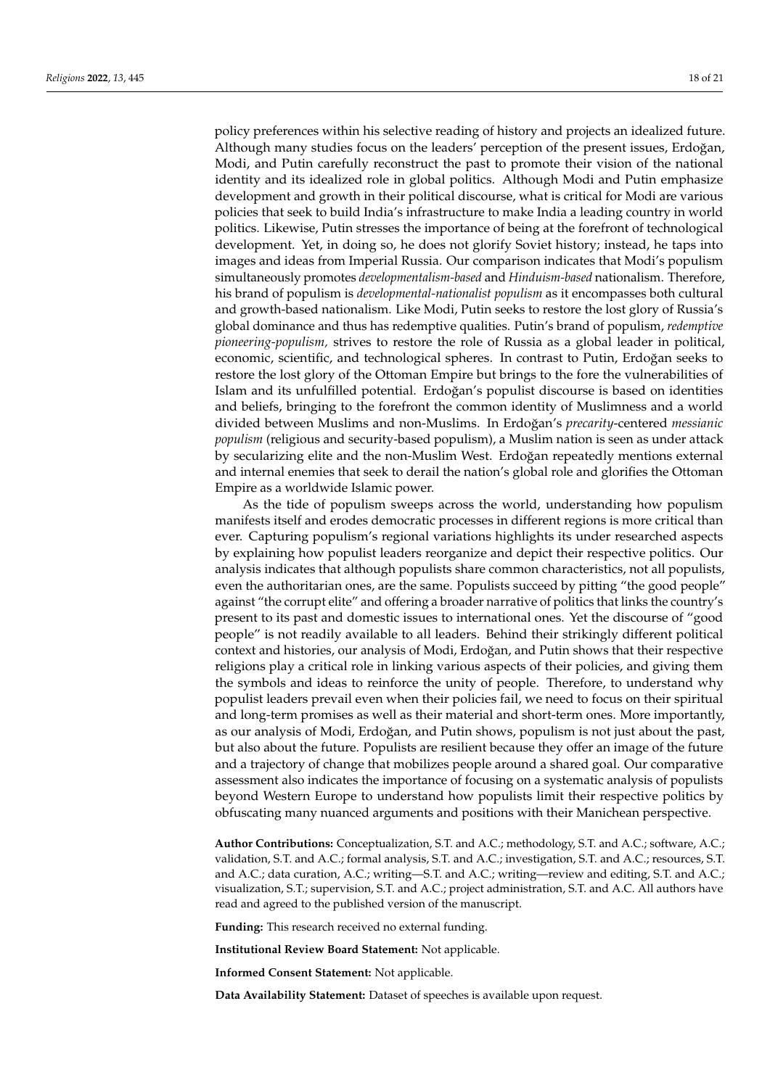policy preferences within his selective reading of history and projects an idealized future. Although many studies focus on the leaders' perception of the present issues, Erdoğan, Modi, and Putin carefully reconstruct the past to promote their vision of the national identity and its idealized role in global politics. Although Modi and Putin emphasize development and growth in their political discourse, what is critical for Modi are various policies that seek to build India's infrastructure to make India a leading country in world politics. Likewise, Putin stresses the importance of being at the forefront of technological development. Yet, in doing so, he does not glorify Soviet history; instead, he taps into images and ideas from Imperial Russia. Our comparison indicates that Modi's populism simultaneously promotes *developmentalism-based* and *Hinduism-based* nationalism. Therefore, his brand of populism is *developmental-nationalist populism* as it encompasses both cultural and growth-based nationalism. Like Modi, Putin seeks to restore the lost glory of Russia's global dominance and thus has redemptive qualities. Putin's brand of populism, *redemptive pioneering-populism,* strives to restore the role of Russia as a global leader in political, economic, scientific, and technological spheres. In contrast to Putin, Erdoğan seeks to restore the lost glory of the Ottoman Empire but brings to the fore the vulnerabilities of Islam and its unfulfilled potential. Erdoğan's populist discourse is based on identities and beliefs, bringing to the forefront the common identity of Muslimness and a world divided between Muslims and non-Muslims. In Erdoğan's *precarity*-centered *messianic populism* (religious and security-based populism), a Muslim nation is seen as under attack by secularizing elite and the non-Muslim West. Erdoğan repeatedly mentions external and internal enemies that seek to derail the nation's global role and glorifies the Ottoman Empire as a worldwide Islamic power.

As the tide of populism sweeps across the world, understanding how populism manifests itself and erodes democratic processes in different regions is more critical than ever. Capturing populism's regional variations highlights its under researched aspects by explaining how populist leaders reorganize and depict their respective politics. Our analysis indicates that although populists share common characteristics, not all populists, even the authoritarian ones, are the same. Populists succeed by pitting "the good people" against "the corrupt elite" and offering a broader narrative of politics that links the country's present to its past and domestic issues to international ones. Yet the discourse of "good people" is not readily available to all leaders. Behind their strikingly different political context and histories, our analysis of Modi, Erdoğan, and Putin shows that their respective religions play a critical role in linking various aspects of their policies, and giving them the symbols and ideas to reinforce the unity of people. Therefore, to understand why populist leaders prevail even when their policies fail, we need to focus on their spiritual and long-term promises as well as their material and short-term ones. More importantly, as our analysis of Modi, Erdoğan, and Putin shows, populism is not just about the past, but also about the future. Populists are resilient because they offer an image of the future and a trajectory of change that mobilizes people around a shared goal. Our comparative assessment also indicates the importance of focusing on a systematic analysis of populists beyond Western Europe to understand how populists limit their respective politics by obfuscating many nuanced arguments and positions with their Manichean perspective.

**Author Contributions:** Conceptualization, S.T. and A.C.; methodology, S.T. and A.C.; software, A.C.; validation, S.T. and A.C.; formal analysis, S.T. and A.C.; investigation, S.T. and A.C.; resources, S.T. and A.C.; data curation, A.C.; writing—S.T. and A.C.; writing—review and editing, S.T. and A.C.; visualization, S.T.; supervision, S.T. and A.C.; project administration, S.T. and A.C. All authors have read and agreed to the published version of the manuscript.

**Funding:** This research received no external funding.

**Institutional Review Board Statement:** Not applicable.

**Informed Consent Statement:** Not applicable.

**Data Availability Statement:** Dataset of speeches is available upon request.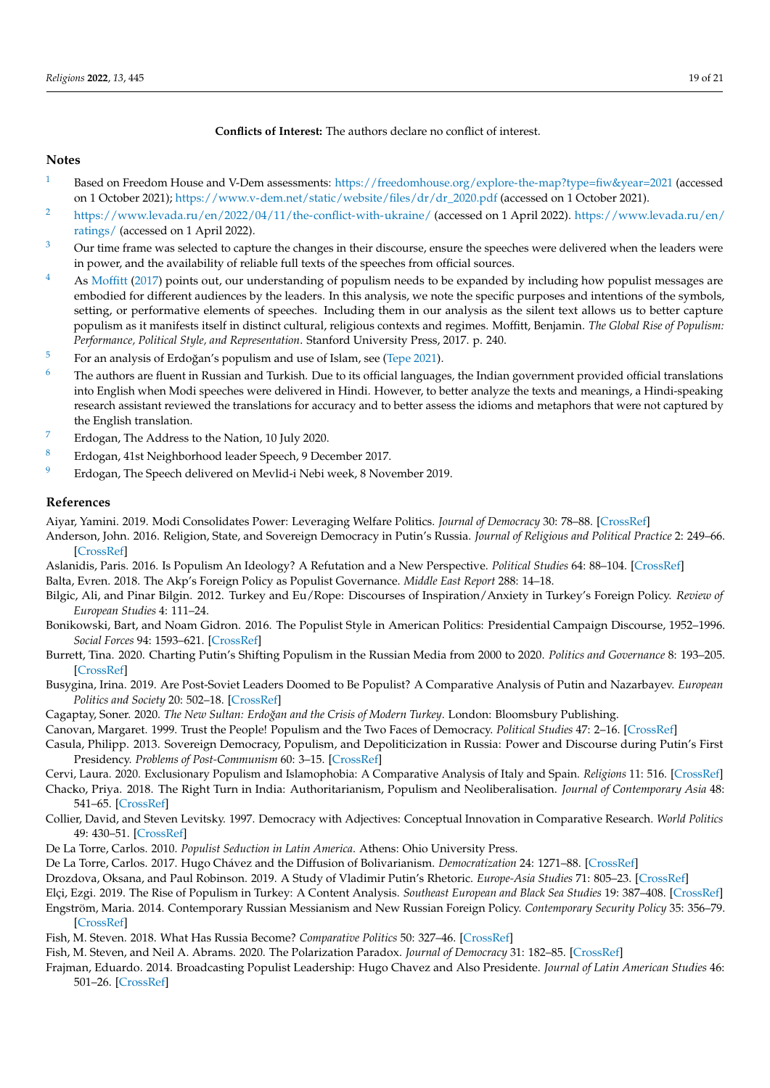## **Conflicts of Interest:** The authors declare no conflict of interest.

## **Notes**

- <span id="page-18-2"></span><sup>[1](#page-0-0)</sup> Based on Freedom House and V-Dem assessments: <https://freedomhouse.org/explore-the-map?type=fiw&year=2021> (accessed on 1 October 2021); [https://www.v-dem.net/static/website/files/dr/dr\\_2020.pdf](https://www.v-dem.net/static/website/files/dr/dr_2020.pdf) (accessed on 1 October 2021).
- <span id="page-18-5"></span><sup>[2](#page-1-0)</sup> <https://www.levada.ru/en/2022/04/11/the-conflict-with-ukraine/> (accessed on 1 April 2022). [https://www.levada.ru/en/](https://www.levada.ru/en/ratings/) [ratings/](https://www.levada.ru/en/ratings/) (accessed on 1 April 2022).
- <span id="page-18-7"></span> $3$  Our time frame was selected to capture the changes in their discourse, ensure the speeches were delivered when the leaders were in power, and the availability of reliable full texts of the speeches from official sources.
- <span id="page-18-8"></span>[4](#page-1-2) As [Moffitt](#page-19-2) [\(2017\)](#page-19-2) points out, our understanding of populism needs to be expanded by including how populist messages are embodied for different audiences by the leaders. In this analysis, we note the specific purposes and intentions of the symbols, setting, or performative elements of speeches. Including them in our analysis as the silent text allows us to better capture populism as it manifests itself in distinct cultural, religious contexts and regimes. Moffitt, Benjamin. *The Global Rise of Populism: Performance, Political Style, and Representation*. Stanford University Press, 2017. p. 240.
- <span id="page-18-16"></span> $5$  For an analysis of Erdoğan's populism and use of Islam, see [\(Tepe](#page-20-8) [2021\)](#page-20-8).
- <span id="page-18-24"></span> $6$  The authors are fluent in Russian and Turkish. Due to its official languages, the Indian government provided official translations into English when Modi speeches were delivered in Hindi. However, to better analyze the texts and meanings, a Hindi-speaking research assistant reviewed the translations for accuracy and to better assess the idioms and metaphors that were not captured by the English translation.
- <span id="page-18-25"></span>[7](#page-9-0) Erdogan, The Address to the Nation, 10 July 2020.
- <span id="page-18-26"></span>[8](#page-11-0) Erdogan, 41st Neighborhood leader Speech, 9 December 2017.
- <span id="page-18-29"></span><sup>[9](#page-13-0)</sup> Erdogan, The Speech delivered on Mevlid-i Nebi week, 8 November 2019.

## **References**

<span id="page-18-19"></span>Aiyar, Yamini. 2019. Modi Consolidates Power: Leveraging Welfare Politics. *Journal of Democracy* 30: 78–88. [\[CrossRef\]](http://doi.org/10.1353/jod.2019.0070)

- <span id="page-18-28"></span>Anderson, John. 2016. Religion, State, and Sovereign Democracy in Putin's Russia. *Journal of Religious and Political Practice* 2: 249–66. [\[CrossRef\]](http://doi.org/10.1080/20566093.2016.1181360)
- <span id="page-18-17"></span><span id="page-18-11"></span>Aslanidis, Paris. 2016. Is Populism An Ideology? A Refutation and a New Perspective. *Political Studies* 64: 88–104. [\[CrossRef\]](http://doi.org/10.1111/1467-9248.12224) Balta, Evren. 2018. The Akp's Foreign Policy as Populist Governance. *Middle East Report* 288: 14–18.
- <span id="page-18-18"></span>Bilgic, Ali, and Pinar Bilgin. 2012. Turkey and Eu/Rope: Discourses of Inspiration/Anxiety in Turkey's Foreign Policy. *Review of European Studies* 4: 111–24.
- <span id="page-18-9"></span>Bonikowski, Bart, and Noam Gidron. 2016. The Populist Style in American Politics: Presidential Campaign Discourse, 1952–1996. *Social Forces* 94: 1593–621. [\[CrossRef\]](http://doi.org/10.1093/sf/sov120)
- <span id="page-18-4"></span>Burrett, Tina. 2020. Charting Putin's Shifting Populism in the Russian Media from 2000 to 2020. *Politics and Governance* 8: 193–205. [\[CrossRef\]](http://doi.org/10.17645/pag.v8i1.2565)
- <span id="page-18-22"></span>Busygina, Irina. 2019. Are Post-Soviet Leaders Doomed to Be Populist? A Comparative Analysis of Putin and Nazarbayev. *European Politics and Society* 20: 502–18. [\[CrossRef\]](http://doi.org/10.1080/23745118.2019.1569345)
- <span id="page-18-15"></span>Cagaptay, Soner. 2020. *The New Sultan: Erdoğan and the Crisis of Modern Turkey*. London: Bloomsbury Publishing.
- <span id="page-18-10"></span>Canovan, Margaret. 1999. Trust the People! Populism and the Two Faces of Democracy. *Political Studies* 47: 2–16. [\[CrossRef\]](http://doi.org/10.1111/1467-9248.00184)
- <span id="page-18-23"></span>Casula, Philipp. 2013. Sovereign Democracy, Populism, and Depoliticization in Russia: Power and Discourse during Putin's First Presidency. *Problems of Post-Communism* 60: 3–15. [\[CrossRef\]](http://doi.org/10.2753/PPC1075-8216600301)
- <span id="page-18-27"></span>Cervi, Laura. 2020. Exclusionary Populism and Islamophobia: A Comparative Analysis of Italy and Spain. *Religions* 11: 516. [\[CrossRef\]](http://doi.org/10.3390/rel11100516)
- <span id="page-18-20"></span>Chacko, Priya. 2018. The Right Turn in India: Authoritarianism, Populism and Neoliberalisation. *Journal of Contemporary Asia* 48: 541–65. [\[CrossRef\]](http://doi.org/10.1080/00472336.2018.1446546)
- <span id="page-18-6"></span>Collier, David, and Steven Levitsky. 1997. Democracy with Adjectives: Conceptual Innovation in Comparative Research. *World Politics* 49: 430–51. [\[CrossRef\]](http://doi.org/10.1353/wp.1997.0009)
- <span id="page-18-12"></span>De La Torre, Carlos. 2010. *Populist Seduction in Latin America*. Athens: Ohio University Press.
- <span id="page-18-0"></span>De La Torre, Carlos. 2017. Hugo Chávez and the Diffusion of Bolivarianism. *Democratization* 24: 1271–88. [\[CrossRef\]](http://doi.org/10.1080/13510347.2017.1307825)
- <span id="page-18-21"></span>Drozdova, Oksana, and Paul Robinson. 2019. A Study of Vladimir Putin's Rhetoric. *Europe-Asia Studies* 71: 805–23. [\[CrossRef\]](http://doi.org/10.1080/09668136.2019.1603362)
- <span id="page-18-14"></span>Elçi, Ezgi. 2019. The Rise of Populism in Turkey: A Content Analysis. *Southeast European and Black Sea Studies* 19: 387–408. [\[CrossRef\]](http://doi.org/10.1080/14683857.2019.1656875)
- <span id="page-18-30"></span>Engström, Maria. 2014. Contemporary Russian Messianism and New Russian Foreign Policy. *Contemporary Security Policy* 35: 356–79. [\[CrossRef\]](http://doi.org/10.1080/13523260.2014.965888)
- <span id="page-18-3"></span>Fish, M. Steven. 2018. What Has Russia Become? *Comparative Politics* 50: 327–46. [\[CrossRef\]](http://doi.org/10.5129/001041518822704872)
- <span id="page-18-13"></span>Fish, M. Steven, and Neil A. Abrams. 2020. The Polarization Paradox. *Journal of Democracy* 31: 182–85. [\[CrossRef\]](http://doi.org/10.1353/jod.2020.0030)
- <span id="page-18-1"></span>Frajman, Eduardo. 2014. Broadcasting Populist Leadership: Hugo Chavez and Also Presidente. *Journal of Latin American Studies* 46: 501–26. [\[CrossRef\]](http://doi.org/10.1017/S0022216X14000716)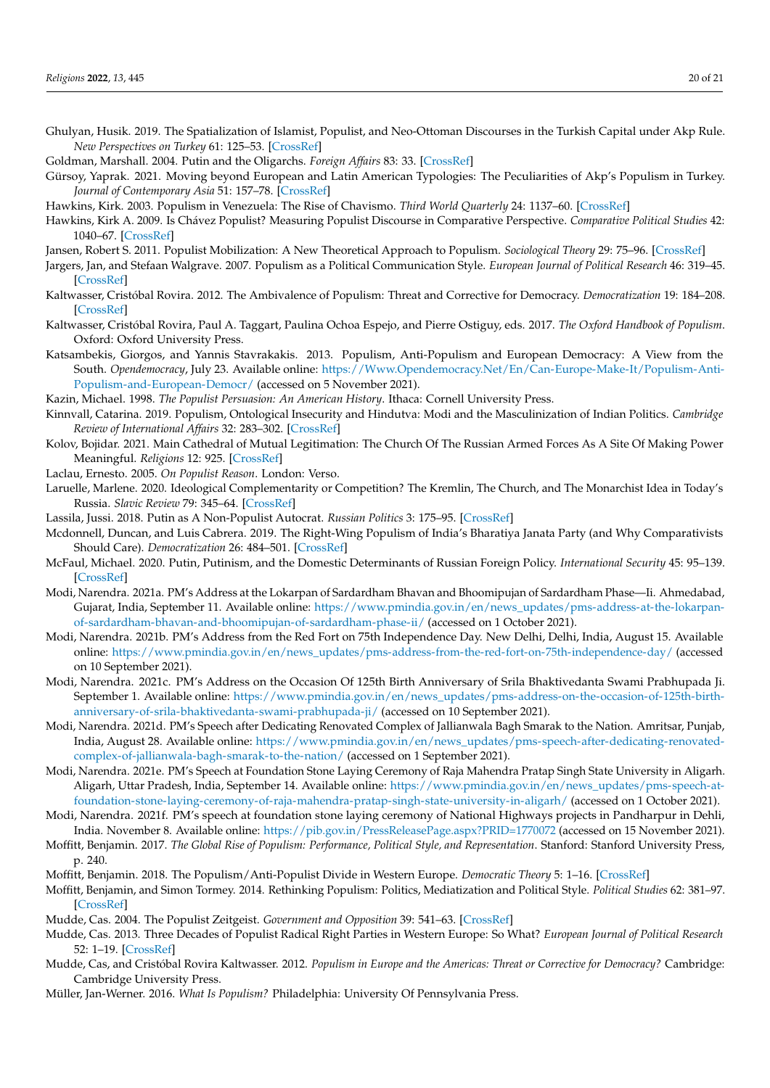- <span id="page-19-16"></span>Ghulyan, Husik. 2019. The Spatialization of Islamist, Populist, and Neo-Ottoman Discourses in the Turkish Capital under Akp Rule. *New Perspectives on Turkey* 61: 125–53. [\[CrossRef\]](http://doi.org/10.1017/npt.2019.15)
- <span id="page-19-29"></span>Goldman, Marshall. 2004. Putin and the Oligarchs. *Foreign Affairs* 83: 33. [\[CrossRef\]](http://doi.org/10.2307/20034135)
- <span id="page-19-20"></span>Gürsoy, Yaprak. 2021. Moving beyond European and Latin American Typologies: The Peculiarities of Akp's Populism in Turkey. *Journal of Contemporary Asia* 51: 157–78. [\[CrossRef\]](http://doi.org/10.1080/00472336.2019.1665196)
- <span id="page-19-6"></span>Hawkins, Kirk. 2003. Populism in Venezuela: The Rise of Chavismo. *Third World Quarterly* 24: 1137–60. [\[CrossRef\]](http://doi.org/10.1080/01436590310001630107)
- <span id="page-19-7"></span>Hawkins, Kirk A. 2009. Is Chávez Populist? Measuring Populist Discourse in Comparative Perspective. *Comparative Political Studies* 42: 1040–67. [\[CrossRef\]](http://doi.org/10.1177/0010414009331721)
- <span id="page-19-10"></span>Jansen, Robert S. 2011. Populist Mobilization: A New Theoretical Approach to Populism. *Sociological Theory* 29: 75–96. [\[CrossRef\]](http://doi.org/10.1111/j.1467-9558.2011.01388.x)
- <span id="page-19-13"></span>Jargers, Jan, and Stefaan Walgrave. 2007. Populism as a Political Communication Style. *European Journal of Political Research* 46: 319–45. [\[CrossRef\]](http://doi.org/10.1111/j.1475-6765.2006.00690.x)
- <span id="page-19-4"></span>Kaltwasser, Cristóbal Rovira. 2012. The Ambivalence of Populism: Threat and Corrective for Democracy. *Democratization* 19: 184–208. [\[CrossRef\]](http://doi.org/10.1080/13510347.2011.572619)
- <span id="page-19-21"></span>Kaltwasser, Cristóbal Rovira, Paul A. Taggart, Paulina Ochoa Espejo, and Pierre Ostiguy, eds. 2017. *The Oxford Handbook of Populism*. Oxford: Oxford University Press.
- <span id="page-19-5"></span>Katsambekis, Giorgos, and Yannis Stavrakakis. 2013. Populism, Anti-Populism and European Democracy: A View from the South. *Opendemocracy*, July 23. Available online: [https://Www.Opendemocracy.Net/En/Can-Europe-Make-It/Populism-Anti-](https://Www.Opendemocracy.Net/En/Can-Europe-Make-It/Populism-Anti-Populism-and-European-Democr/)[Populism-and-European-Democr/](https://Www.Opendemocracy.Net/En/Can-Europe-Make-It/Populism-Anti-Populism-and-European-Democr/) (accessed on 5 November 2021).
- <span id="page-19-11"></span>Kazin, Michael. 1998. *The Populist Persuasion: An American History*. Ithaca: Cornell University Press.
- <span id="page-19-17"></span>Kinnvall, Catarina. 2019. Populism, Ontological Insecurity and Hindutva: Modi and the Masculinization of Indian Politics. *Cambridge Review of International Affairs* 32: 283–302. [\[CrossRef\]](http://doi.org/10.1080/09557571.2019.1588851)
- <span id="page-19-27"></span>Kolov, Bojidar. 2021. Main Cathedral of Mutual Legitimation: The Church Of The Russian Armed Forces As A Site Of Making Power Meaningful. *Religions* 12: 925. [\[CrossRef\]](http://doi.org/10.3390/rel12110925)
- <span id="page-19-12"></span>Laclau, Ernesto. 2005. *On Populist Reason*. London: Verso.
- <span id="page-19-30"></span>Laruelle, Marlene. 2020. Ideological Complementarity or Competition? The Kremlin, The Church, and The Monarchist Idea in Today's Russia. *Slavic Review* 79: 345–64. [\[CrossRef\]](http://doi.org/10.1017/slr.2020.87)
- <span id="page-19-8"></span>Lassila, Jussi. 2018. Putin as A Non-Populist Autocrat. *Russian Politics* 3: 175–95. [\[CrossRef\]](http://doi.org/10.1163/2451-8921-00302002)
- <span id="page-19-18"></span>Mcdonnell, Duncan, and Luis Cabrera. 2019. The Right-Wing Populism of India's Bharatiya Janata Party (and Why Comparativists Should Care). *Democratization* 26: 484–501. [\[CrossRef\]](http://doi.org/10.1080/13510347.2018.1551885)
- <span id="page-19-19"></span>McFaul, Michael. 2020. Putin, Putinism, and the Domestic Determinants of Russian Foreign Policy. *International Security* 45: 95–139. [\[CrossRef\]](http://doi.org/10.1162/isec_a_00390)
- <span id="page-19-22"></span>Modi, Narendra. 2021a. PM's Address at the Lokarpan of Sardardham Bhavan and Bhoomipujan of Sardardham Phase—Ii. Ahmedabad, Gujarat, India, September 11. Available online: [https://www.pmindia.gov.in/en/news\\_updates/pms-address-at-the-lokarpan](https://www.pmindia.gov.in/en/news_updates/pms-address-at-the-lokarpan-of-sardardham-bhavan-and-bhoomipujan-of-sardardham-phase-ii/)[of-sardardham-bhavan-and-bhoomipujan-of-sardardham-phase-ii/](https://www.pmindia.gov.in/en/news_updates/pms-address-at-the-lokarpan-of-sardardham-bhavan-and-bhoomipujan-of-sardardham-phase-ii/) (accessed on 1 October 2021).
- <span id="page-19-25"></span>Modi, Narendra. 2021b. PM's Address from the Red Fort on 75th Independence Day. New Delhi, Delhi, India, August 15. Available online: [https://www.pmindia.gov.in/en/news\\_updates/pms-address-from-the-red-fort-on-75th-independence-day/](https://www.pmindia.gov.in/en/news_updates/pms-address-from-the-red-fort-on-75th-independence-day/) (accessed on 10 September 2021).
- <span id="page-19-26"></span>Modi, Narendra. 2021c. PM's Address on the Occasion Of 125th Birth Anniversary of Srila Bhaktivedanta Swami Prabhupada Ji. September 1. Available online: [https://www.pmindia.gov.in/en/news\\_updates/pms-address-on-the-occasion-of-125th-birth](https://www.pmindia.gov.in/en/news_updates/pms-address-on-the-occasion-of-125th-birth-anniversary-of-srila-bhaktivedanta-swami-prabhupada-ji/)[anniversary-of-srila-bhaktivedanta-swami-prabhupada-ji/](https://www.pmindia.gov.in/en/news_updates/pms-address-on-the-occasion-of-125th-birth-anniversary-of-srila-bhaktivedanta-swami-prabhupada-ji/) (accessed on 10 September 2021).
- <span id="page-19-23"></span>Modi, Narendra. 2021d. PM's Speech after Dedicating Renovated Complex of Jallianwala Bagh Smarak to the Nation. Amritsar, Punjab, India, August 28. Available online: [https://www.pmindia.gov.in/en/news\\_updates/pms-speech-after-dedicating-renovated](https://www.pmindia.gov.in/en/news_updates/pms-speech-after-dedicating-renovated-complex-of-jallianwala-bagh-smarak-to-the-nation/)[complex-of-jallianwala-bagh-smarak-to-the-nation/](https://www.pmindia.gov.in/en/news_updates/pms-speech-after-dedicating-renovated-complex-of-jallianwala-bagh-smarak-to-the-nation/) (accessed on 1 September 2021).
- <span id="page-19-28"></span>Modi, Narendra. 2021e. PM's Speech at Foundation Stone Laying Ceremony of Raja Mahendra Pratap Singh State University in Aligarh. Aligarh, Uttar Pradesh, India, September 14. Available online: [https://www.pmindia.gov.in/en/news\\_updates/pms-speech-at](https://www.pmindia.gov.in/en/news_updates/pms-speech-at-foundation-stone-laying-ceremony-of-raja-mahendra-pratap-singh-state-university-in-aligarh/)[foundation-stone-laying-ceremony-of-raja-mahendra-pratap-singh-state-university-in-aligarh/](https://www.pmindia.gov.in/en/news_updates/pms-speech-at-foundation-stone-laying-ceremony-of-raja-mahendra-pratap-singh-state-university-in-aligarh/) (accessed on 1 October 2021).
- <span id="page-19-24"></span>Modi, Narendra. 2021f. PM's speech at foundation stone laying ceremony of National Highways projects in Pandharpur in Dehli, India. November 8. Available online: <https://pib.gov.in/PressReleasePage.aspx?PRID=1770072> (accessed on 15 November 2021).
- <span id="page-19-2"></span>Moffitt, Benjamin. 2017. *The Global Rise of Populism: Performance, Political Style, and Representation*. Stanford: Stanford University Press, p. 240.
- <span id="page-19-14"></span><span id="page-19-9"></span>Moffitt, Benjamin. 2018. The Populism/Anti-Populist Divide in Western Europe. *Democratic Theory* 5: 1–16. [\[CrossRef\]](http://doi.org/10.3167/dt.2018.050202)
- Moffitt, Benjamin, and Simon Tormey. 2014. Rethinking Populism: Politics, Mediatization and Political Style. *Political Studies* 62: 381–97. [\[CrossRef\]](http://doi.org/10.1111/1467-9248.12032)
- <span id="page-19-0"></span>Mudde, Cas. 2004. The Populist Zeitgeist. *Government and Opposition* 39: 541–63. [\[CrossRef\]](http://doi.org/10.1111/j.1477-7053.2004.00135.x)
- <span id="page-19-3"></span>Mudde, Cas. 2013. Three Decades of Populist Radical Right Parties in Western Europe: So What? *European Journal of Political Research* 52: 1–19. [\[CrossRef\]](http://doi.org/10.1111/j.1475-6765.2012.02065.x)
- <span id="page-19-1"></span>Mudde, Cas, and Cristóbal Rovira Kaltwasser. 2012. *Populism in Europe and the Americas: Threat or Corrective for Democracy?* Cambridge: Cambridge University Press.
- <span id="page-19-15"></span>Müller, Jan-Werner. 2016. *What Is Populism?* Philadelphia: University Of Pennsylvania Press.